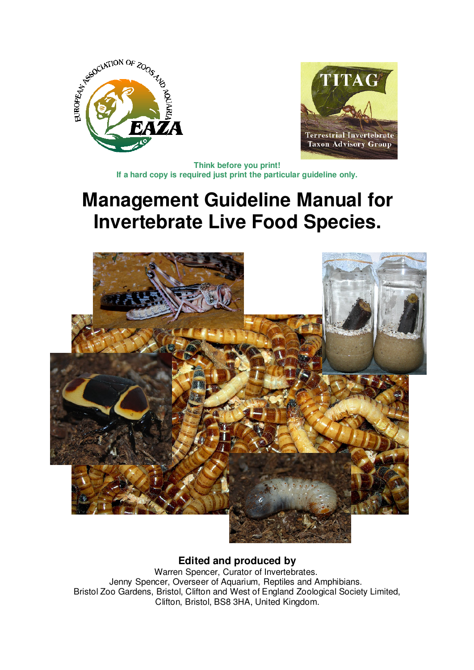



**Think before you print! If a hard copy is required just print the particular guideline only.**

# **Management Guideline Manual for Invertebrate Live Food Species.**



**Edited and produced by**

Warren Spencer, Curator of Invertebrates. Jenny Spencer, Overseer of Aquarium, Reptiles and Amphibians. Bristol Zoo Gardens, Bristol, Clifton and West of England Zoological Society Limited, Clifton, Bristol, BS8 3HA, United Kingdom.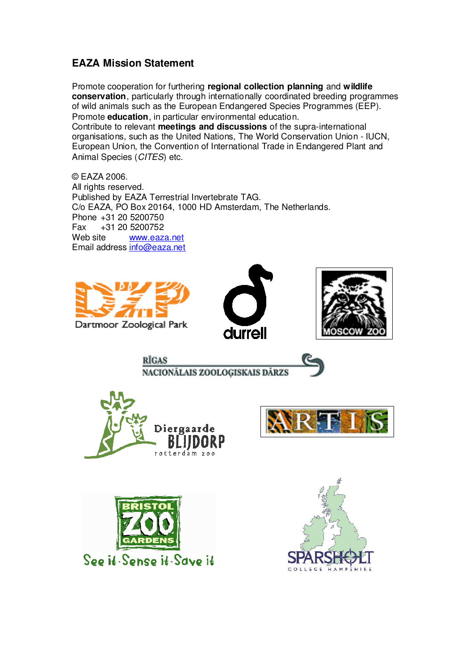# **EAZA Mission Statement**

Promote cooperation for furthering **regional collection planning** and **wildlife conservation**, particularly through internationally coordinated breeding programmes of wild animals such as the European Endangered Species Programmes (EEP). Promote **education**, in particular environmental education. Contribute to relevant **meetings and discussions** of the supra-international organisations, such as the United Nations, The World Conservation Union - IUCN, European Union, the Convention of International Trade in Endangered Plant and Animal Species (CITES) etc.

© EAZA 2006. All rights reserved. Published by EAZA Terrestrial Invertebrate TAG. C/o EAZA, PO Box 20164, 1000 HD Amsterdam, The Netherlands. Phone +31 20 5200750 Fax +31 20 5200752 Web site www.eaza.net Email address info@eaza.net









rotterdam zoo

**RIGAS** 





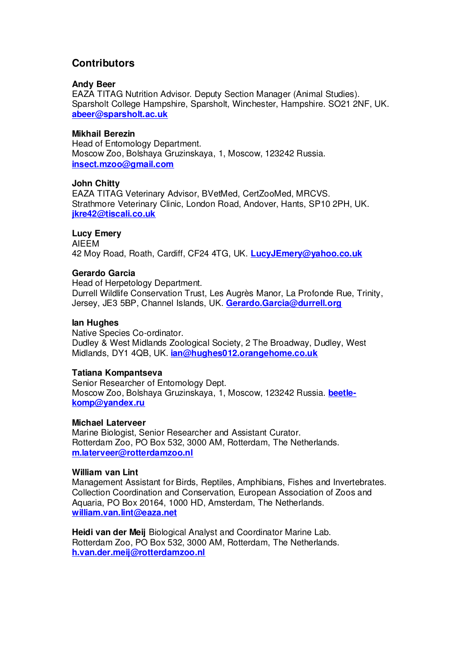# **Contributors**

#### **Andy Beer**

EAZA TITAG Nutrition Advisor. Deputy Section Manager (Animal Studies). Sparsholt College Hampshire, Sparsholt, Winchester, Hampshire. SO21 2NF, UK. **abeer@sparsholt.ac.uk**

#### **Mikhail Berezin**

Head of Entomology Department. Moscow Zoo, Bolshaya Gruzinskaya, 1, Moscow, 123242 Russia. **insect.mzoo@gmail.com**

#### **John Chitty**

EAZA TITAG Veterinary Advisor, BVetMed, CertZooMed, MRCVS. Strathmore Veterinary Clinic, London Road, Andover, Hants, SP10 2PH, UK. **jkre42@tiscali.co.uk**

#### **Lucy Emery**

AIEEM 42 Moy Road, Roath, Cardiff, CF24 4TG, UK. **LucyJEmery@yahoo.co.uk**

#### **Gerardo Garcia**

Head of Herpetology Department. Durrell Wildlife Conservation Trust, Les Augrès Manor, La Profonde Rue, Trinity, Jersey, JE3 5BP, Channel Islands, UK. **Gerardo.Garcia@durrell.org** 

#### **Ian Hughes**

Native Species Co-ordinator. Dudley & West Midlands Zoological Society, 2 The Broadway, Dudley, West Midlands, DY1 4QB, UK. **ian@hughes012.orangehome.co.uk**

#### **Tatiana Kompantseva**

Senior Researcher of Entomology Dept. Moscow Zoo, Bolshaya Gruzinskaya, 1, Moscow, 123242 Russia. **beetlekomp@yandex.ru**

#### **Michael Laterveer**

Marine Biologist, Senior Researcher and Assistant Curator. Rotterdam Zoo, PO Box 532, 3000 AM, Rotterdam, The Netherlands. **m.laterveer@rotterdamzoo.nl**

#### **William van Lint**

Management Assistant for Birds, Reptiles, Amphibians, Fishes and Invertebrates. Collection Coordination and Conservation, European Association of Zoos and Aquaria, PO Box 20164, 1000 HD, Amsterdam, The Netherlands. **william.van.lint@eaza.net**

**Heidi van der Meij** Biological Analyst and Coordinator Marine Lab. Rotterdam Zoo, PO Box 532, 3000 AM, Rotterdam, The Netherlands. **h.van.der.meij@rotterdamzoo.nl**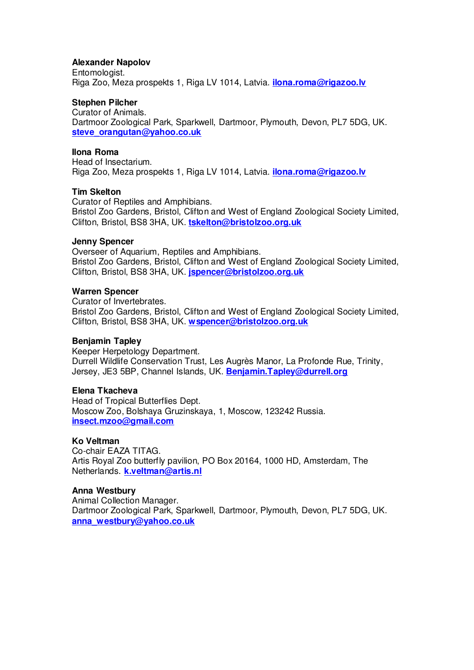#### **Alexander Napolov**

Entomologist. Riga Zoo, Meza prospekts 1, Riga LV 1014, Latvia. **ilona.roma@rigazoo.lv**

#### **Stephen Pilcher**

Curator of Animals. Dartmoor Zoological Park, Sparkwell, Dartmoor, Plymouth, Devon, PL7 5DG, UK. **steve\_orangutan@yahoo.co.uk**

#### **Ilona Roma**

Head of Insectarium. Riga Zoo, Meza prospekts 1, Riga LV 1014, Latvia. **ilona.roma@rigazoo.lv**

#### **Tim Skelton**

Curator of Reptiles and Amphibians. Bristol Zoo Gardens, Bristol, Clifton and West of England Zoological Society Limited, Clifton, Bristol, BS8 3HA, UK. **tskelton@bristolzoo.org.uk**

#### **Jenny Spencer**

Overseer of Aquarium, Reptiles and Amphibians. Bristol Zoo Gardens, Bristol, Clifton and West of England Zoological Society Limited, Clifton, Bristol, BS8 3HA, UK. **jspencer@bristolzoo.org.uk**

#### **Warren Spencer**

Curator of Invertebrates. Bristol Zoo Gardens, Bristol, Clifton and West of England Zoological Society Limited, Clifton, Bristol, BS8 3HA, UK. **wspencer@bristolzoo.org.uk** 

#### **Benjamin Tapley**

Keeper Herpetology Department. Durrell Wildlife Conservation Trust, Les Augrès Manor, La Profonde Rue, Trinity, Jersey, JE3 5BP, Channel Islands, UK. **Benjamin.Tapley@durrell.org**

#### **Elena Tkacheva**

Head of Tropical Butterflies Dept. Moscow Zoo, Bolshaya Gruzinskaya, 1, Moscow, 123242 Russia. **insect.mzoo@gmail.com**

## **Ko Veltman**

Co-chair EAZA TITAG. Artis Royal Zoo butterfly pavilion, PO Box 20164, 1000 HD, Amsterdam, The Netherlands. **k.veltman@artis.nl**

#### **Anna Westbury**

Animal Collection Manager. Dartmoor Zoological Park, Sparkwell, Dartmoor, Plymouth, Devon, PL7 5DG, UK. **anna\_westbury@yahoo.co.uk**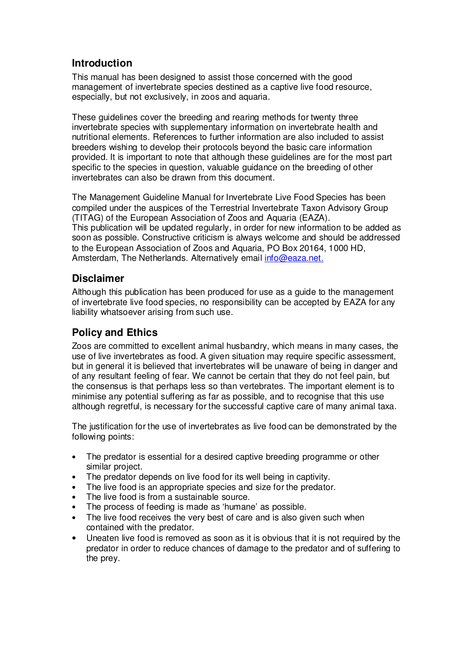# **Introduction**

This manual has been designed to assist those concerned with the good management of invertebrate species destined as a captive live food resource, especially, but not exclusively, in zoos and aquaria.

These guidelines cover the breeding and rearing methods for twenty three invertebrate species with supplementary information on invertebrate health and nutritional elements. References to further information are also included to assist breeders wishing to develop their protocols beyond the basic care information provided. It is important to note that although these guidelines are for the most part specific to the species in question, valuable guidance on the breeding of other invertebrates can also be drawn from this document.

The Management Guideline Manual for Invertebrate Live Food Species has been compiled under the auspices of the Terrestrial Invertebrate Taxon Advisory Group (TITAG) of the European Association of Zoos and Aquaria (EAZA). This publication will be updated regularly, in order for new information to be added as soon as possible. Constructive criticism is always welcome and should be addressed to the European Association of Zoos and Aquaria, PO Box 20164, 1000 HD, Amsterdam, The Netherlands. Alternatively email info@eaza.net.

# **Disclaimer**

Although this publication has been produced for use as a guide to the management of invertebrate live food species, no responsibility can be accepted by EAZA for any liability whatsoever arising from such use.

# **Policy and Ethics**

Zoos are committed to excellent animal husbandry, which means in many cases, the use of live invertebrates as food. A given situation may require specific assessment, but in general it is believed that invertebrates will be unaware of being in danger and of any resultant feeling of fear. We cannot be certain that they do not feel pain, but the consensus is that perhaps less so than vertebrates. The important element is to minimise any potential suffering as far as possible, and to recognise that this use although regretful, is necessary for the successful captive care of many animal taxa.

The justification for the use of invertebrates as live food can be demonstrated by the following points:

- The predator is essential for a desired captive breeding programme or other similar project.
- The predator depends on live food for its well being in captivity.
- The live food is an appropriate species and size for the predator.
- The live food is from a sustainable source.
- The process of feeding is made as 'humane' as possible.
- The live food receives the very best of care and is also given such when contained with the predator.
- Uneaten live food is removed as soon as it is obvious that it is not required by the predator in order to reduce chances of damage to the predator and of suffering to the prey.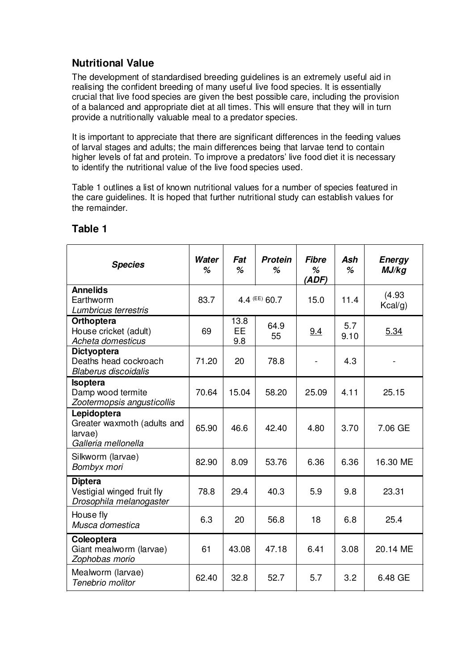# **Nutritional Value**

The development of standardised breeding guidelines is an extremely useful aid in realising the confident breeding of many useful live food species. It is essentially crucial that live food species are given the best possible care, including the provision of a balanced and appropriate diet at all times. This will ensure that they will in turn provide a nutritionally valuable meal to a predator species.

It is important to appreciate that there are significant differences in the feeding values of larval stages and adults; the main differences being that larvae tend to contain higher levels of fat and protein. To improve a predators' live food diet it is necessary to identify the nutritional value of the live food species used.

Table 1 outlines a list of known nutritional values for a number of species featured in the care guidelines. It is hoped that further nutritional study can establish values for the remainder.

| <b>Species</b>                                                               | Water<br>% | Fat<br>%                 | <b>Protein</b><br>% | <b>Fibre</b><br>%<br>(ADE) | Ash<br>%    | <b>Energy</b><br>MJ/kg |
|------------------------------------------------------------------------------|------------|--------------------------|---------------------|----------------------------|-------------|------------------------|
| <b>Annelids</b><br>Earthworm<br>Lumbricus terrestris                         | 83.7       |                          | 4.4 (EE) 60.7       | 15.0                       | 11.4        | (4.93)<br>Kcal/g)      |
| <b>Orthoptera</b><br>House cricket (adult)<br>Acheta domesticus              | 69         | 13.8<br><b>EE</b><br>9.8 | 64.9<br>55          | 9.4                        | 5.7<br>9.10 | 5.34                   |
| <b>Dictyoptera</b><br>Deaths head cockroach<br><b>Blaberus discoidalis</b>   | 71.20      | 20                       | 78.8                | $\overline{\phantom{a}}$   | 4.3         |                        |
| <b>Isoptera</b><br>Damp wood termite<br>Zootermopsis angusticollis           | 70.64      | 15.04                    | 58.20               | 25.09                      | 4.11        | 25.15                  |
| Lepidoptera<br>Greater waxmoth (adults and<br>larvae)<br>Galleria mellonella | 65.90      | 46.6                     | 42.40               | 4.80                       | 3.70        | 7.06 GE                |
| Silkworm (larvae)<br>Bombyx mori                                             | 82.90      | 8.09                     | 53.76               | 6.36                       | 6.36        | 16.30 ME               |
| <b>Diptera</b><br>Vestigial winged fruit fly<br>Drosophila melanogaster      | 78.8       | 29.4                     | 40.3                | 5.9                        | 9.8         | 23.31                  |
| House fly<br>Musca domestica                                                 | 6.3        | 20                       | 56.8                | 18                         | 6.8         | 25.4                   |
| Coleoptera<br>Giant mealworm (larvae)<br>Zophobas morio                      | 61         | 43.08                    | 47.18               | 6.41                       | 3.08        | 20.14 ME               |
| Mealworm (larvae)<br>Tenebrio molitor                                        | 62.40      | 32.8                     | 52.7                | 5.7                        | 3.2         | 6.48 GE                |

# **Table 1**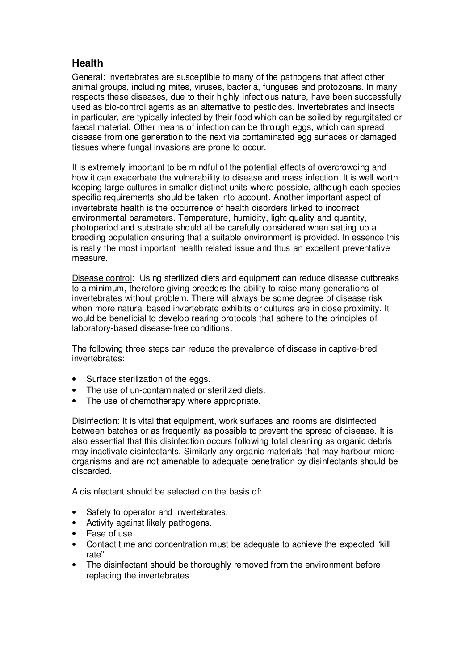# **Health**

General: Invertebrates are susceptible to many of the pathogens that affect other animal groups, including mites, viruses, bacteria, funguses and protozoans. In many respects these diseases, due to their highly infectious nature, have been successfully used as bio-control agents as an alternative to pesticides. Invertebrates and insects in particular, are typically infected by their food which can be soiled by regurgitated or faecal material. Other means of infection can be through eggs, which can spread disease from one generation to the next via contaminated egg surfaces or damaged tissues where fungal invasions are prone to occur.

It is extremely important to be mindful of the potential effects of overcrowding and how it can exacerbate the vulnerability to disease and mass infection. It is well worth keeping large cultures in smaller distinct units where possible, although each species specific requirements should be taken into account. Another important aspect of invertebrate health is the occurrence of health disorders linked to incorrect environmental parameters. Temperature, humidity, light quality and quantity, photoperiod and substrate should all be carefully considered when setting up a breeding population ensuring that a suitable environment is provided. In essence this is really the most important health related issue and thus an excellent preventative measure.

Disease control: Using sterilized diets and equipment can reduce disease outbreaks to a minimum, therefore giving breeders the ability to raise many generations of invertebrates without problem. There will always be some degree of disease risk when more natural based invertebrate exhibits or cultures are in close proximity. It would be beneficial to develop rearing protocols that adhere to the principles of laboratory-based disease-free conditions.

The following three steps can reduce the prevalence of disease in captive-bred invertebrates:

- Surface sterilization of the eggs.
- The use of un-contaminated or sterilized diets.
- The use of chemotherapy where appropriate.

Disinfection: It is vital that equipment, work surfaces and rooms are disinfected between batches or as frequently as possible to prevent the spread of disease. It is also essential that this disinfection occurs following total cleaning as organic debris may inactivate disinfectants. Similarly any organic materials that may harbour microorganisms and are not amenable to adequate penetration by disinfectants should be discarded.

A disinfectant should be selected on the basis of:

- Safety to operator and invertebrates.
- Activity against likely pathogens.
- Ease of use.
- Contact time and concentration must be adequate to achieve the expected "kill rate".
- The disinfectant should be thoroughly removed from the environment before replacing the invertebrates.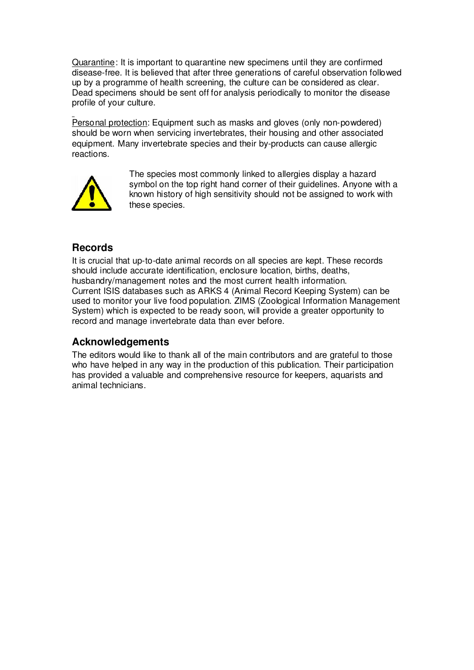Quarantine: It is important to quarantine new specimens until they are confirmed disease-free. It is believed that after three generations of careful observation followed up by a programme of health screening, the culture can be considered as clear. Dead specimens should be sent off for analysis periodically to monitor the disease profile of your culture.

Personal protection: Equipment such as masks and gloves (only non-powdered) should be worn when servicing invertebrates, their housing and other associated equipment. Many invertebrate species and their by-products can cause allergic reactions.



The species most commonly linked to allergies display a hazard symbol on the top right hand corner of their guidelines. Anyone with a known history of high sensitivity should not be assigned to work with these species.

# **Records**

It is crucial that up-to-date animal records on all species are kept. These records should include accurate identification, enclosure location, births, deaths, husbandry/management notes and the most current health information. Current ISIS databases such as ARKS 4 (Animal Record Keeping System) can be used to monitor your live food population. ZIMS (Zoological Information Management System) which is expected to be ready soon, will provide a greater opportunity to record and manage invertebrate data than ever before.

# **Acknowledgements**

The editors would like to thank all of the main contributors and are grateful to those who have helped in any way in the production of this publication. Their participation has provided a valuable and comprehensive resource for keepers, aquarists and animal technicians.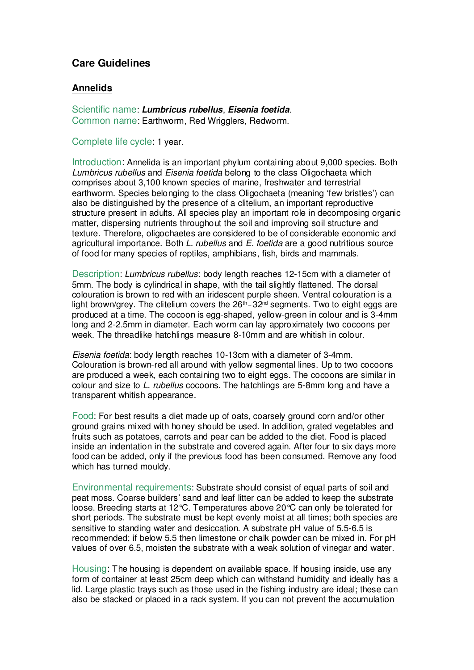# **Care Guidelines**

#### **Annelids**

Scientific name: **Lumbricus rubellus**, **Eisenia foetida**. Common name: Earthworm, Red Wrigglers, Redworm.

Complete life cycle: 1 year.

Introduction: Annelida is an important phylum containing about 9,000 species. Both Lumbricus rubellus and Eisenia foetida belong to the class Oligochaeta which comprises about 3,100 known species of marine, freshwater and terrestrial earthworm. Species belonging to the class Oligochaeta (meaning 'few bristles') can also be distinguished by the presence of a clitelium, an important reproductive structure present in adults. All species play an important role in decomposing organic matter, dispersing nutrients throughout the soil and improving soil structure and texture. Therefore, oligochaetes are considered to be of considerable economic and agricultural importance. Both L. rubellus and E. foetida are a good nutritious source of food for many species of reptiles, amphibians, fish, birds and mammals.

Description: Lumbricus rubellus: body length reaches 12-15cm with a diameter of 5mm. The body is cylindrical in shape, with the tail slightly flattened. The dorsal colouration is brown to red with an iridescent purple sheen. Ventral colouration is a light brown/grey. The clitelium covers the  $26<sup>th</sup> - 32<sup>nd</sup>$  segments. Two to eight eggs are produced at a time. The cocoon is egg-shaped, yellow-green in colour and is 3-4mm long and 2-2.5mm in diameter. Each worm can lay approximately two cocoons per week. The threadlike hatchlings measure 8-10mm and are whitish in colour.

Eisenia foetida: body length reaches 10-13cm with a diameter of 3-4mm. Colouration is brown-red all around with yellow segmental lines. Up to two cocoons are produced a week, each containing two to eight eggs. The cocoons are similar in colour and size to L. rubellus cocoons. The hatchlings are 5-8mm long and have a transparent whitish appearance.

Food: For best results a diet made up of oats, coarsely ground corn and/or other ground grains mixed with honey should be used. In addition, grated vegetables and fruits such as potatoes, carrots and pear can be added to the diet. Food is placed inside an indentation in the substrate and covered again. After four to six days more food can be added, only if the previous food has been consumed. Remove any food which has turned mouldy.

Environmental requirements: Substrate should consist of equal parts of soil and peat moss. Coarse builders' sand and leaf litter can be added to keep the substrate loose. Breeding starts at 12°C. Temperatures above 20°C can only be tolerated for short periods. The substrate must be kept evenly moist at all times; both species are sensitive to standing water and desiccation. A substrate pH value of 5.5-6.5 is recommended; if below 5.5 then limestone or chalk powder can be mixed in. For pH values of over 6.5, moisten the substrate with a weak solution of vinegar and water.

Housing: The housing is dependent on available space. If housing inside, use any form of container at least 25cm deep which can withstand humidity and ideally has a lid. Large plastic trays such as those used in the fishing industry are ideal; these can also be stacked or placed in a rack system. If you can not prevent the accumulation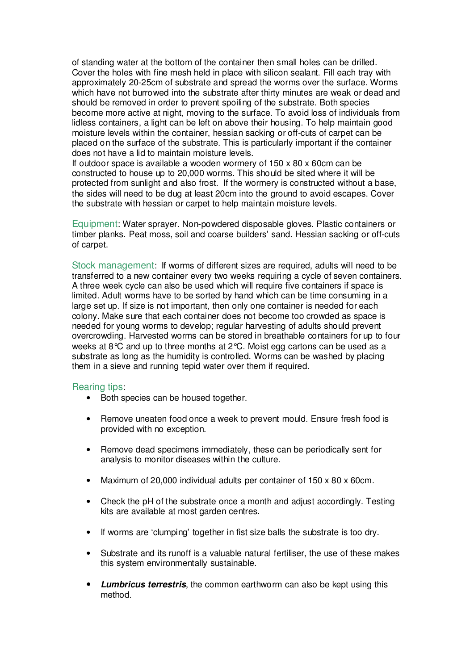of standing water at the bottom of the container then small holes can be drilled. Cover the holes with fine mesh held in place with silicon sealant. Fill each tray with approximately 20-25cm of substrate and spread the worms over the surface. Worms which have not burrowed into the substrate after thirty minutes are weak or dead and should be removed in order to prevent spoiling of the substrate. Both species become more active at night, moving to the surface. To avoid loss of individuals from lidless containers, a light can be left on above their housing. To help maintain good moisture levels within the container, hessian sacking or off-cuts of carpet can be placed on the surface of the substrate. This is particularly important if the container does not have a lid to maintain moisture levels.

If outdoor space is available a wooden wormery of  $150 \times 80 \times 60$  cm can be constructed to house up to 20,000 worms. This should be sited where it will be protected from sunlight and also frost. If the wormery is constructed without a base, the sides will need to be dug at least 20cm into the ground to avoid escapes. Cover the substrate with hessian or carpet to help maintain moisture levels.

Equipment: Water sprayer. Non-powdered disposable gloves. Plastic containers or timber planks. Peat moss, soil and coarse builders' sand. Hessian sacking or off-cuts of carpet.

Stock management:If worms of different sizes are required, adults will need to be transferred to a new container every two weeks requiring a cycle of seven containers. A three week cycle can also be used which will require five containers if space is limited. Adult worms have to be sorted by hand which can be time consuming in a large set up. If size is not important, then only one container is needed for each colony. Make sure that each container does not become too crowded as space is needed for young worms to develop; regular harvesting of adults should prevent overcrowding. Harvested worms can be stored in breathable containers for up to four weeks at 8°C and up to three months at 2°C. Moist egg cartons can be used as a substrate as long as the humidity is controlled. Worms can be washed by placing them in a sieve and running tepid water over them if required.

- Both species can be housed together.
- Remove uneaten food once a week to prevent mould. Ensure fresh food is provided with no exception.
- Remove dead specimens immediately, these can be periodically sent for analysis to monitor diseases within the culture.
- Maximum of 20,000 individual adults per container of 150 x 80 x 60cm.
- Check the pH of the substrate once a month and adjust accordingly. Testing kits are available at most garden centres.
- If worms are 'clumping' together in fist size balls the substrate is too dry.
- Substrate and its runoff is a valuable natural fertiliser, the use of these makes this system environmentally sustainable.
- **Lumbricus terrestris**, the common earthworm can also be kept using this method.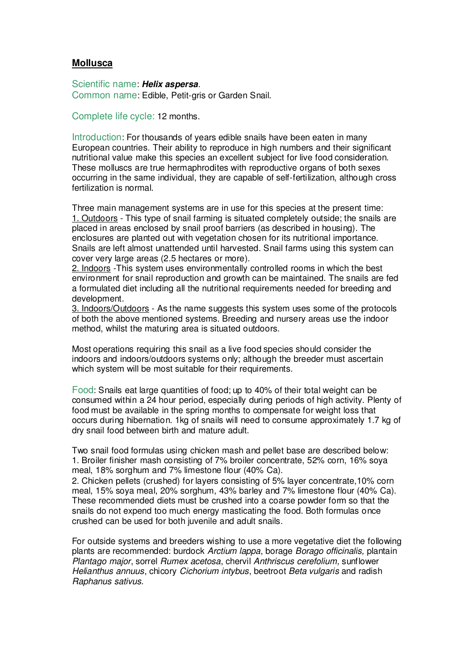## **Mollusca**

Scientific name: **Helix aspersa**. Common name: Edible, Petit-gris or Garden Snail.

Complete life cycle: 12 months.

Introduction: For thousands of years edible snails have been eaten in many European countries. Their ability to reproduce in high numbers and their significant nutritional value make this species an excellent subject for live food consideration. These molluscs are true hermaphrodites with reproductive organs of both sexes occurring in the same individual, they are capable of self-fertilization, although cross fertilization is normal.

Three main management systems are in use for this species at the present time: 1. Outdoors - This type of snail farming is situated completely outside; the snails are placed in areas enclosed by snail proof barriers (as described in housing). The enclosures are planted out with vegetation chosen for its nutritional importance. Snails are left almost unattended until harvested. Snail farms using this system can cover very large areas (2.5 hectares or more).

2. Indoors -This system uses environmentally controlled rooms in which the best environment for snail reproduction and growth can be maintained. The snails are fed a formulated diet including all the nutritional requirements needed for breeding and development.

3. Indoors/Outdoors - As the name suggests this system uses some of the protocols of both the above mentioned systems. Breeding and nursery areas use the indoor method, whilst the maturing area is situated outdoors.

Most operations requiring this snail as a live food species should consider the indoors and indoors/outdoors systems only; although the breeder must ascertain which system will be most suitable for their requirements.

Food: Snails eat large quantities of food; up to 40% of their total weight can be consumed within a 24 hour period, especially during periods of high activity. Plenty of food must be available in the spring months to compensate for weight loss that occurs during hibernation. 1kg of snails will need to consume approximately 1.7 kg of dry snail food between birth and mature adult.

Two snail food formulas using chicken mash and pellet base are described below: 1. Broiler finisher mash consisting of 7% broiler concentrate, 52% corn, 16% soya meal, 18% sorghum and 7% limestone flour (40% Ca).

2. Chicken pellets (crushed) for layers consisting of 5% layer concentrate,10% corn meal, 15% soya meal, 20% sorghum, 43% barley and 7% limestone flour (40% Ca). These recommended diets must be crushed into a coarse powder form so that the snails do not expend too much energy masticating the food. Both formulas once crushed can be used for both juvenile and adult snails.

For outside systems and breeders wishing to use a more vegetative diet the following plants are recommended: burdock Arctium lappa, borage Borago officinalis, plantain Plantago major, sorrel Rumex acetosa, chervil Anthriscus cerefolium, sunflower Helianthus annuus, chicory Cichorium intybus, beetroot Beta vulgaris and radish Raphanus sativus.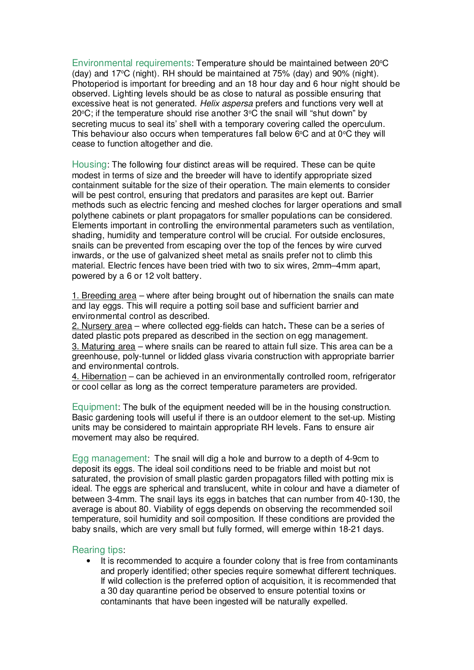Environmental requirements: Temperature should be maintained between 20°C (day) and  $17^{\circ}$ C (night). RH should be maintained at  $75\%$  (day) and  $90\%$  (night). Photoperiod is important for breeding and an 18 hour day and 6 hour night should be observed. Lighting levels should be as close to natural as possible ensuring that excessive heat is not generated. Helix aspersa prefers and functions very well at 20 $\degree$ C; if the temperature should rise another  $3\degree$ C the snail will "shut down" by secreting mucus to seal its' shell with a temporary covering called the operculum. This behaviour also occurs when temperatures fall below  $6^{\circ}$ C and at  $0^{\circ}$ C they will cease to function altogether and die.

Housing: The following four distinct areas will be required. These can be quite modest in terms of size and the breeder will have to identify appropriate sized containment suitable for the size of their operation. The main elements to consider will be pest control, ensuring that predators and parasites are kept out. Barrier methods such as electric fencing and meshed cloches for larger operations and small polythene cabinets or plant propagators for smaller populations can be considered. Elements important in controlling the environmental parameters such as ventilation, shading, humidity and temperature control will be crucial. For outside enclosures, snails can be prevented from escaping over the top of the fences by wire curved inwards, or the use of galvanized sheet metal as snails prefer not to climb this material. Electric fences have been tried with two to six wires, 2mm–4mm apart, powered by a 6 or 12 volt battery.

1. Breeding area – where after being brought out of hibernation the snails can mate and lay eggs. This will require a potting soil base and sufficient barrier and environmental control as described.

2. Nursery area – where collected egg-fields can hatch**.** These can be a series of dated plastic pots prepared as described in the section on egg management. 3. Maturing area – where snails can be reared to attain full size. This area can be a greenhouse, poly-tunnel or lidded glass vivaria construction with appropriate barrier and environmental controls.

4. Hibernation – can be achieved in an environmentally controlled room, refrigerator or cool cellar as long as the correct temperature parameters are provided.

Equipment: The bulk of the equipment needed will be in the housing construction. Basic gardening tools will useful if there is an outdoor element to the set-up. Misting units may be considered to maintain appropriate RH levels. Fans to ensure air movement may also be required.

Egg management: The snail will dig a hole and burrow to a depth of 4-9cm to deposit its eggs. The ideal soil conditions need to be friable and moist but not saturated, the provision of small plastic garden propagators filled with potting mix is ideal. The eggs are spherical and translucent, white in colour and have a diameter of between 3-4mm. The snail lays its eggs in batches that can number from 40-130, the average is about 80. Viability of eggs depends on observing the recommended soil temperature, soil humidity and soil composition. If these conditions are provided the baby snails, which are very small but fully formed, will emerge within 18-21 days.

#### Rearing tips:

It is recommended to acquire a founder colony that is free from contaminants and properly identified; other species require somewhat different techniques. If wild collection is the preferred option of acquisition, it is recommended that a 30 day quarantine period be observed to ensure potential toxins or contaminants that have been ingested will be naturally expelled.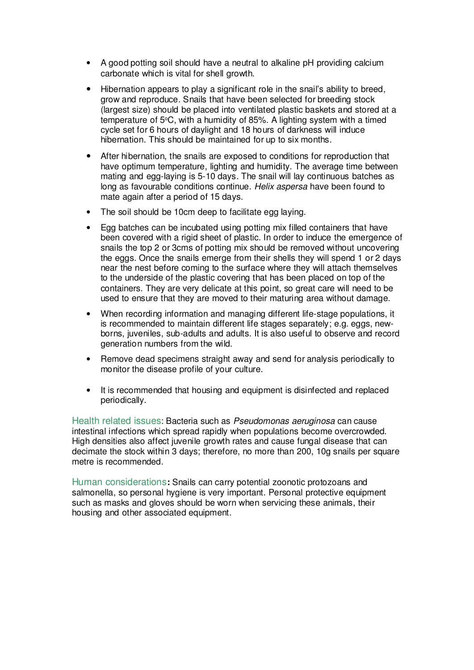- A good potting soil should have a neutral to alkaline pH providing calcium carbonate which is vital for shell growth.
- Hibernation appears to play a significant role in the snail's ability to breed, grow and reproduce. Snails that have been selected for breeding stock (largest size) should be placed into ventilated plastic baskets and stored at a temperature of 5°C, with a humidity of 85%. A lighting system with a timed cycle set for 6 hours of daylight and 18 hours of darkness will induce hibernation. This should be maintained for up to six months.
- After hibernation, the snails are exposed to conditions for reproduction that have optimum temperature, lighting and humidity. The average time between mating and egg-laying is 5-10 days. The snail will lay continuous batches as long as favourable conditions continue. Helix aspersa have been found to mate again after a period of 15 days.
- The soil should be 10cm deep to facilitate egg laying.
- Egg batches can be incubated using potting mix filled containers that have been covered with a rigid sheet of plastic. In order to induce the emergence of snails the top 2 or 3cms of potting mix should be removed without uncovering the eggs. Once the snails emerge from their shells they will spend 1 or 2 days near the nest before coming to the surface where they will attach themselves to the underside of the plastic covering that has been placed on top of the containers. They are very delicate at this point, so great care will need to be used to ensure that they are moved to their maturing area without damage.
- When recording information and managing different life-stage populations, it is recommended to maintain different life stages separately; e.g. eggs, newborns, juveniles, sub-adults and adults. It is also useful to observe and record generation numbers from the wild.
- Remove dead specimens straight away and send for analysis periodically to monitor the disease profile of your culture.
- It is recommended that housing and equipment is disinfected and replaced periodically.

Health related issues: Bacteria such as Pseudomonas aeruginosa can cause intestinal infections which spread rapidly when populations become overcrowded. High densities also affect juvenile growth rates and cause fungal disease that can decimate the stock within 3 days; therefore, no more than 200, 10g snails per square metre is recommended.

Human considerations**:** Snails can carry potential zoonotic protozoans and salmonella, so personal hygiene is very important. Personal protective equipment such as masks and gloves should be worn when servicing these animals, their housing and other associated equipment.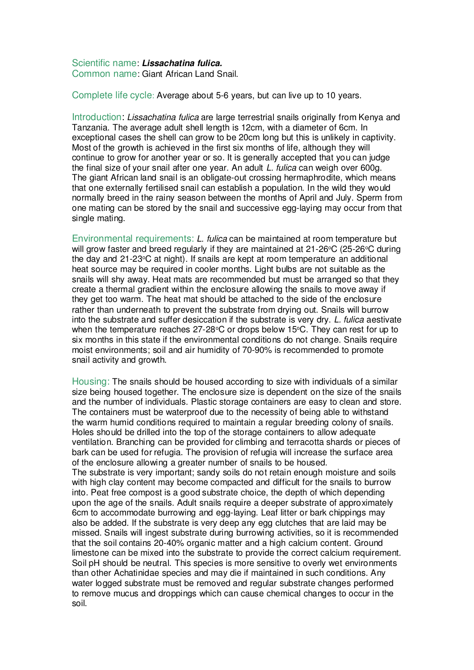## Scientific name: **Lissachatina fulica.**

Common name: Giant African Land Snail.

Complete life cycle: Average about 5-6 years, but can live up to 10 years.

Introduction: Lissachatina fulica are large terrestrial snails originally from Kenya and Tanzania. The average adult shell length is 12cm, with a diameter of 6cm. In exceptional cases the shell can grow to be 20cm long but this is unlikely in captivity. Most of the growth is achieved in the first six months of life, although they will continue to grow for another year or so. It is generally accepted that you can judge the final size of your snail after one year. An adult L. fulica can weigh over 600g. The giant African land snail is an obligate-out crossing hermaphrodite, which means that one externally fertilised snail can establish a population. In the wild they would normally breed in the rainy season between the months of April and July. Sperm from one mating can be stored by the snail and successive egg-laying may occur from that single mating.

Environmental requirements: L. fulica can be maintained at room temperature but will grow faster and breed regularly if they are maintained at  $21-26^{\circ}C$  (25-26 $^{\circ}C$  during the day and 21-23°C at night). If snails are kept at room temperature an additional heat source may be required in cooler months. Light bulbs are not suitable as the snails will shy away. Heat mats are recommended but must be arranged so that they create a thermal gradient within the enclosure allowing the snails to move away if they get too warm. The heat mat should be attached to the side of the enclosure rather than underneath to prevent the substrate from drying out. Snails will burrow into the substrate and suffer desiccation if the substrate is very dry. L. fulica aestivate when the temperature reaches  $27-28$ °C or drops below 15°C. They can rest for up to six months in this state if the environmental conditions do not change. Snails require moist environments; soil and air humidity of 70-90% is recommended to promote snail activity and growth.

Housing: The snails should be housed according to size with individuals of a similar size being housed together. The enclosure size is dependent on the size of the snails and the number of individuals. Plastic storage containers are easy to clean and store. The containers must be waterproof due to the necessity of being able to withstand the warm humid conditions required to maintain a regular breeding colony of snails. Holes should be drilled into the top of the storage containers to allow adequate ventilation. Branching can be provided for climbing and terracotta shards or pieces of bark can be used for refugia. The provision of refugia will increase the surface area of the enclosure allowing a greater number of snails to be housed. The substrate is very important; sandy soils do not retain enough moisture and soils with high clay content may become compacted and difficult for the snails to burrow into. Peat free compost is a good substrate choice, the depth of which depending upon the age of the snails. Adult snails require a deeper substrate of approximately 6cm to accommodate burrowing and egg-laying. Leaf litter or bark chippings may also be added. If the substrate is very deep any egg clutches that are laid may be missed. Snails will ingest substrate during burrowing activities, so it is recommended that the soil contains 20-40% organic matter and a high calcium content. Ground

limestone can be mixed into the substrate to provide the correct calcium requirement. Soil pH should be neutral. This species is more sensitive to overly wet environments than other Achatinidae species and may die if maintained in such conditions. Any water logged substrate must be removed and regular substrate changes performed to remove mucus and droppings which can cause chemical changes to occur in the soil.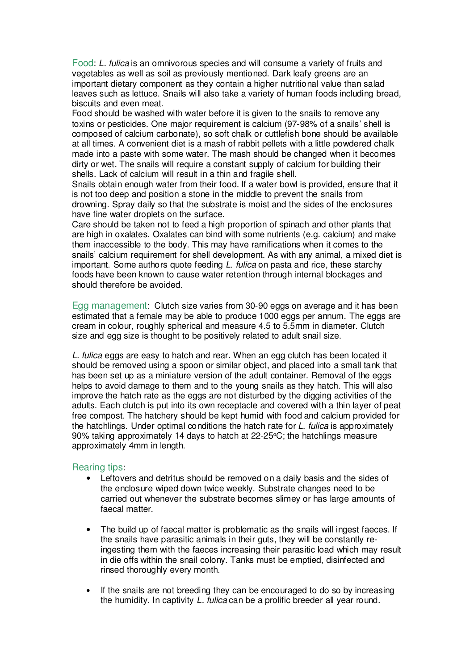Food: L. fulica is an omnivorous species and will consume a variety of fruits and vegetables as well as soil as previously mentioned. Dark leafy greens are an important dietary component as they contain a higher nutritional value than salad leaves such as lettuce. Snails will also take a variety of human foods including bread, biscuits and even meat.

Food should be washed with water before it is given to the snails to remove any toxins or pesticides. One major requirement is calcium (97-98% of a snails' shell is composed of calcium carbonate), so soft chalk or cuttlefish bone should be available at all times. A convenient diet is a mash of rabbit pellets with a little powdered chalk made into a paste with some water. The mash should be changed when it becomes dirty or wet. The snails will require a constant supply of calcium for building their shells. Lack of calcium will result in a thin and fragile shell.

Snails obtain enough water from their food. If a water bowl is provided, ensure that it is not too deep and position a stone in the middle to prevent the snails from drowning. Spray daily so that the substrate is moist and the sides of the enclosures have fine water droplets on the surface.

Care should be taken not to feed a high proportion of spinach and other plants that are high in oxalates. Oxalates can bind with some nutrients (e.g. calcium) and make them inaccessible to the body. This may have ramifications when it comes to the snails' calcium requirement for shell development. As with any animal, a mixed diet is important. Some authors quote feeding *L. fulica* on pasta and rice, these starchy foods have been known to cause water retention through internal blockages and should therefore be avoided.

Egg management: Clutch size varies from 30-90 eggs on average and it has been estimated that a female may be able to produce 1000 eggs per annum. The eggs are cream in colour, roughly spherical and measure 4.5 to 5.5mm in diameter. Clutch size and egg size is thought to be positively related to adult snail size.

L. fulica eggs are easy to hatch and rear. When an egg clutch has been located it should be removed using a spoon or similar object, and placed into a small tank that has been set up as a miniature version of the adult container. Removal of the eggs helps to avoid damage to them and to the young snails as they hatch. This will also improve the hatch rate as the eggs are not disturbed by the digging activities of the adults. Each clutch is put into its own receptacle and covered with a thin layer of peat free compost. The hatchery should be kept humid with food and calcium provided for the hatchlings. Under optimal conditions the hatch rate for L. fulica is approximately 90% taking approximately 14 days to hatch at  $22-25$ °C; the hatchlings measure approximately 4mm in length.

- Leftovers and detritus should be removed on a daily basis and the sides of the enclosure wiped down twice weekly. Substrate changes need to be carried out whenever the substrate becomes slimey or has large amounts of faecal matter.
- The build up of faecal matter is problematic as the snails will ingest faeces. If the snails have parasitic animals in their guts, they will be constantly reingesting them with the faeces increasing their parasitic load which may result in die offs within the snail colony. Tanks must be emptied, disinfected and rinsed thoroughly every month.
- If the snails are not breeding they can be encouraged to do so by increasing the humidity. In captivity L. fulica can be a prolific breeder all year round.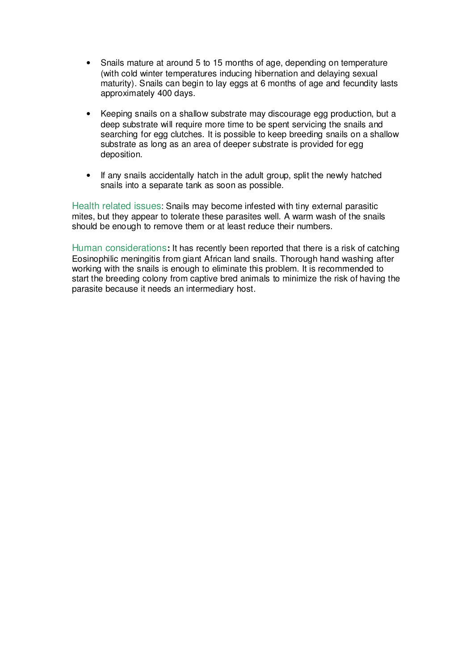- Snails mature at around 5 to 15 months of age, depending on temperature (with cold winter temperatures inducing hibernation and delaying sexual maturity). Snails can begin to lay eggs at 6 months of age and fecundity lasts approximately 400 days.
- Keeping snails on a shallow substrate may discourage egg production, but a deep substrate will require more time to be spent servicing the snails and searching for egg clutches. It is possible to keep breeding snails on a shallow substrate as long as an area of deeper substrate is provided for egg deposition.
- If any snails accidentally hatch in the adult group, split the newly hatched snails into a separate tank as soon as possible.

Health related issues: Snails may become infested with tiny external parasitic mites, but they appear to tolerate these parasites well. A warm wash of the snails should be enough to remove them or at least reduce their numbers.

Human considerations**:** It has recently been reported that there is a risk of catching Eosinophilic meningitis from giant African land snails. Thorough hand washing after working with the snails is enough to eliminate this problem. It is recommended to start the breeding colony from captive bred animals to minimize the risk of having the parasite because it needs an intermediary host.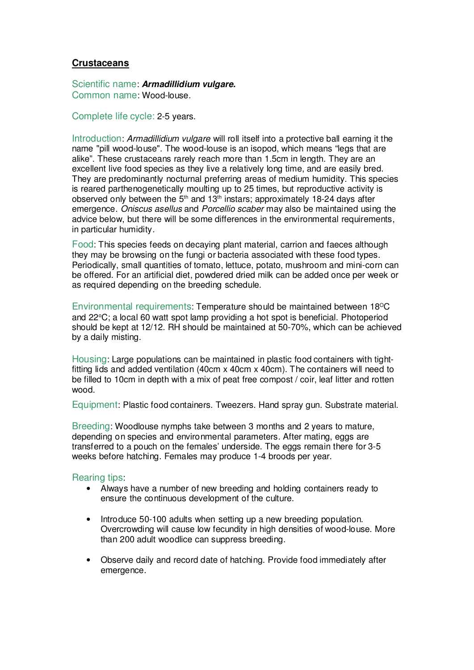## **Crustaceans**

Scientific name: **Armadillidium vulgare.** Common name: Wood-louse.

Complete life cycle: 2-5 years.

Introduction: Armadillidium vulgare will roll itself into a protective ball earning it the name "pill wood-louse". The wood-louse is an isopod, which means "legs that are alike". These crustaceans rarely reach more than 1.5cm in length. They are an excellent live food species as they live a relatively long time, and are easily bred. They are predominantly nocturnal preferring areas of medium humidity. This species is reared parthenogenetically moulting up to 25 times, but reproductive activity is observed only between the  $5<sup>th</sup>$  and  $13<sup>th</sup>$  instars; approximately 18-24 days after emergence. Oniscus asellus and Porcellio scaber may also be maintained using the advice below, but there will be some differences in the environmental requirements, in particular humidity.

Food: This species feeds on decaying plant material, carrion and faeces although they may be browsing on the fungi or bacteria associated with these food types. Periodically, small quantities of tomato, lettuce, potato, mushroom and mini-corn can be offered. For an artificial diet, powdered dried milk can be added once per week or as required depending on the breeding schedule.

Environmental requirements: Temperature should be maintained between 18°C and  $22^{\circ}$ C; a local 60 watt spot lamp providing a hot spot is beneficial. Photoperiod should be kept at 12/12. RH should be maintained at 50-70%, which can be achieved by a daily misting.

Housing: Large populations can be maintained in plastic food containers with tightfitting lids and added ventilation (40cm x 40cm x 40cm). The containers will need to be filled to 10cm in depth with a mix of peat free compost / coir, leaf litter and rotten wood.

Equipment: Plastic food containers. Tweezers. Hand spray gun. Substrate material.

Breeding: Woodlouse nymphs take between 3 months and 2 years to mature, depending on species and environmental parameters. After mating, eggs are transferred to a pouch on the females' underside. The eggs remain there for 3-5 weeks before hatching. Females may produce 1-4 broods per year.

- Always have a number of new breeding and holding containers ready to ensure the continuous development of the culture.
- Introduce 50-100 adults when setting up a new breeding population. Overcrowding will cause low fecundity in high densities of wood-louse. More than 200 adult woodlice can suppress breeding.
- Observe daily and record date of hatching. Provide food immediately after emergence.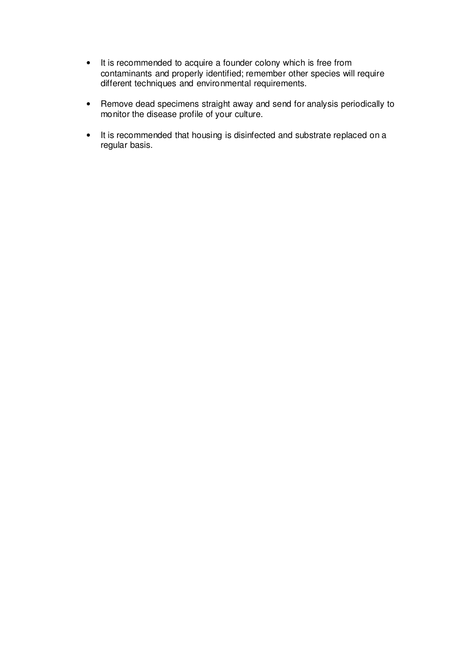- It is recommended to acquire a founder colony which is free from contaminants and properly identified; remember other species will require different techniques and environmental requirements.
- Remove dead specimens straight away and send for analysis periodically to monitor the disease profile of your culture.
- It is recommended that housing is disinfected and substrate replaced on a regular basis.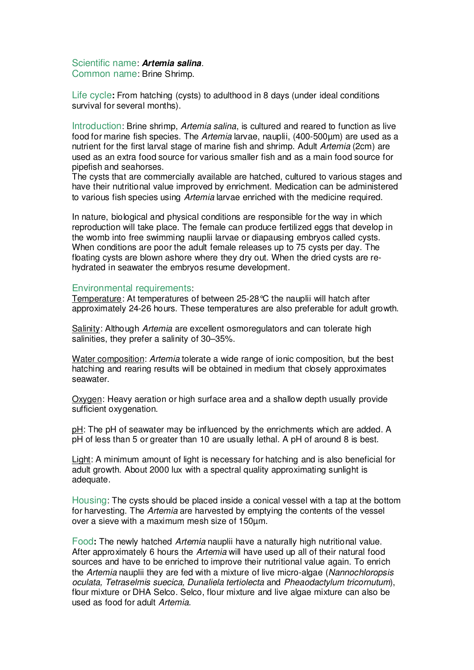# Scientific name: **Artemia salina**.

Common name: Brine Shrimp.

Life cycle**:** From hatching (cysts) to adulthood in 8 days (under ideal conditions survival for several months).

Introduction: Brine shrimp, Artemia salina, is cultured and reared to function as live food for marine fish species. The Artemia larvae, nauplii, (400-500µm) are used as a nutrient for the first larval stage of marine fish and shrimp. Adult Artemia (2cm) are used as an extra food source for various smaller fish and as a main food source for pipefish and seahorses.

The cysts that are commercially available are hatched, cultured to various stages and have their nutritional value improved by enrichment. Medication can be administered to various fish species using *Artemia* larvae enriched with the medicine required.

In nature, biological and physical conditions are responsible for the way in which reproduction will take place. The female can produce fertilized eggs that develop in the womb into free swimming nauplii larvae or diapausing embryos called cysts. When conditions are poor the adult female releases up to 75 cysts per day. The floating cysts are blown ashore where they dry out. When the dried cysts are rehydrated in seawater the embryos resume development.

#### Environmental requirements:

Temperature: At temperatures of between 25-28°C the nauplii will hatch after approximately 24-26 hours. These temperatures are also preferable for adult growth.

Salinity: Although Artemia are excellent osmoregulators and can tolerate high salinities, they prefer a salinity of 30–35%.

Water composition: *Artemia* tolerate a wide range of ionic composition, but the best hatching and rearing results will be obtained in medium that closely approximates seawater.

Oxygen: Heavy aeration or high surface area and a shallow depth usually provide sufficient oxygenation.

pH: The pH of seawater may be influenced by the enrichments which are added. A pH of less than 5 or greater than 10 are usually lethal. A pH of around 8 is best.

Light: A minimum amount of light is necessary for hatching and is also beneficial for adult growth. About 2000 lux with a spectral quality approximating sunlight is adequate.

Housing: The cysts should be placed inside a conical vessel with a tap at the bottom for harvesting. The Artemia are harvested by emptying the contents of the vessel over a sieve with a maximum mesh size of 150µm.

Food**:** The newly hatched Artemia nauplii have a naturally high nutritional value. After approximately 6 hours the Artemia will have used up all of their natural food sources and have to be enriched to improve their nutritional value again. To enrich the Artemia nauplii they are fed with a mixture of live micro-algae (Nannochloropsis oculata, Tetraselmis suecica, Dunaliela tertiolecta and Pheaodactylum tricornutum), flour mixture or DHA Selco. Selco, flour mixture and live algae mixture can also be used as food for adult Artemia.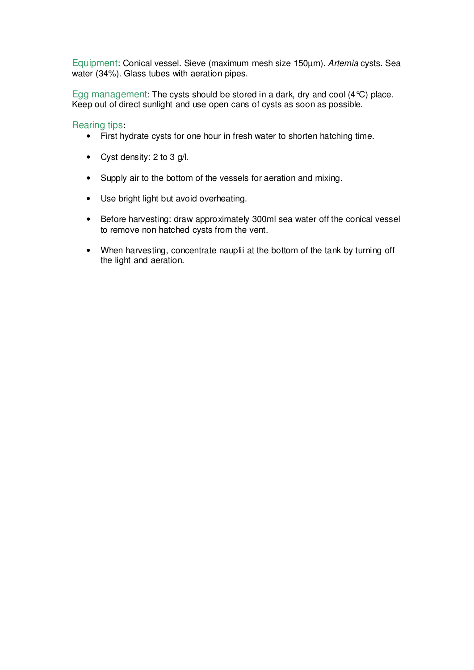Equipment: Conical vessel. Sieve (maximum mesh size 150µm). Artemia cysts. Sea water (34%). Glass tubes with aeration pipes.

Egg management: The cysts should be stored in a dark, dry and cool (4°C) place. Keep out of direct sunlight and use open cans of cysts as soon as possible.

- First hydrate cysts for one hour in fresh water to shorten hatching time.
- Cyst density: 2 to 3 g/l.
- Supply air to the bottom of the vessels for aeration and mixing.
- Use bright light but avoid overheating.
- Before harvesting: draw approximately 300ml sea water off the conical vessel to remove non hatched cysts from the vent.
- When harvesting, concentrate nauplii at the bottom of the tank by turning off the light and aeration.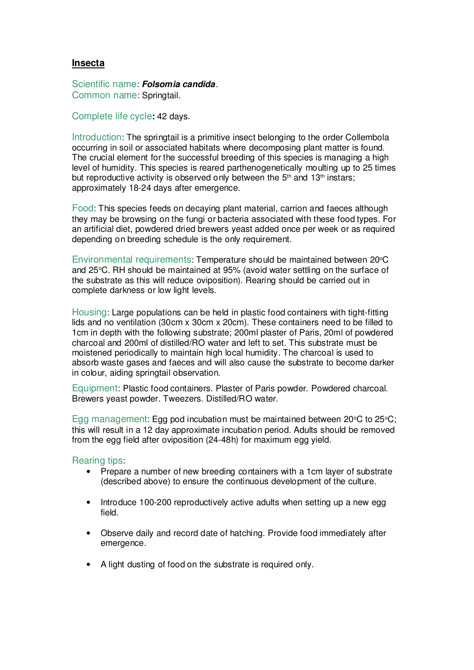#### **Insecta**

Scientific name: **Folsomia candida**. Common name: Springtail.

Complete life cycle**:** 42 days.

Introduction: The springtail is a primitive insect belonging to the order Collembola occurring in soil or associated habitats where decomposing plant matter is found. The crucial element for the successful breeding of this species is managing a high level of humidity. This species is reared parthenogenetically moulting up to 25 times but reproductive activity is observed only between the  $5<sup>th</sup>$  and  $13<sup>th</sup>$  instars; approximately 18-24 days after emergence.

Food: This species feeds on decaying plant material, carrion and faeces although they may be browsing on the fungi or bacteria associated with these food types. For an artificial diet, powdered dried brewers yeast added once per week or as required depending on breeding schedule is the only requirement.

Environmental requirements: Temperature should be maintained between 20°C and  $25^{\circ}$ C. RH should be maintained at  $95%$  (avoid water settling on the surface of the substrate as this will reduce oviposition). Rearing should be carried out in complete darkness or low light levels.

Housing: Large populations can be held in plastic food containers with tight-fitting lids and no ventilation (30cm x 30cm x 20cm). These containers need to be filled to 1cm in depth with the following substrate; 200ml plaster of Paris, 20ml of powdered charcoal and 200ml of distilled/RO water and left to set. This substrate must be moistened periodically to maintain high local humidity. The charcoal is used to absorb waste gases and faeces and will also cause the substrate to become darker in colour, aiding springtail observation.

Equipment: Plastic food containers. Plaster of Paris powder. Powdered charcoal. Brewers yeast powder. Tweezers. Distilled/RO water.

Egg management: Egg pod incubation must be maintained between 20 $\degree$ C to 25 $\degree$ C; this will result in a 12 day approximate incubation period. Adults should be removed from the egg field after oviposition (24-48h) for maximum egg yield.

- Prepare a number of new breeding containers with a 1cm layer of substrate (described above) to ensure the continuous development of the culture.
- Introduce 100-200 reproductively active adults when setting up a new egg field.
- Observe daily and record date of hatching. Provide food immediately after emergence.
- A light dusting of food on the substrate is required only.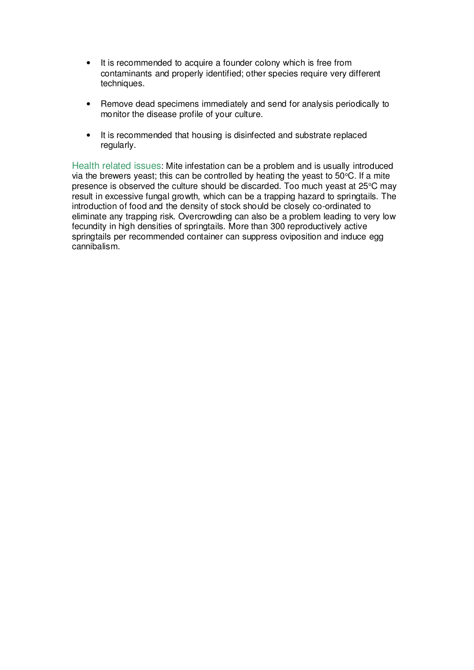- It is recommended to acquire a founder colony which is free from contaminants and properly identified; other species require very different techniques.
- Remove dead specimens immediately and send for analysis periodically to monitor the disease profile of your culture.
- It is recommended that housing is disinfected and substrate replaced regularly.

Health related issues: Mite infestation can be a problem and is usually introduced via the brewers yeast; this can be controlled by heating the yeast to  $50^{\circ}$ C. If a mite presence is observed the culture should be discarded. Too much yeast at 25°C may result in excessive fungal growth, which can be a trapping hazard to springtails. The introduction of food and the density of stock should be closely co-ordinated to eliminate any trapping risk. Overcrowding can also be a problem leading to very low fecundity in high densities of springtails. More than 300 reproductively active springtails per recommended container can suppress oviposition and induce egg cannibalism.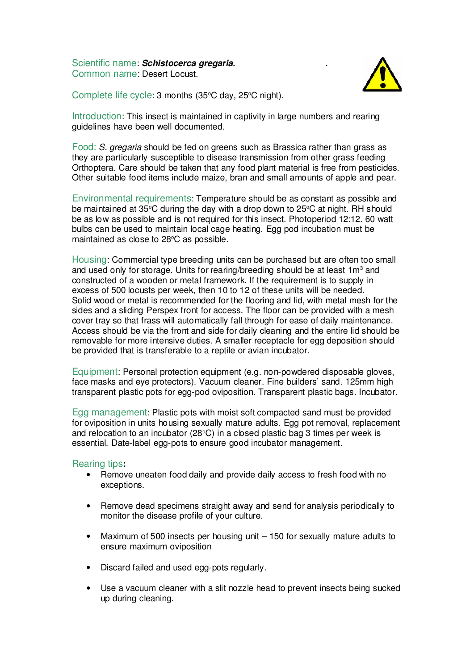Scientific name: **Schistocerca gregaria.** . Common name: Desert Locust.



Complete life cycle:  $3$  months ( $35^{\circ}$ C day,  $25^{\circ}$ C night).

Introduction: This insect is maintained in captivity in large numbers and rearing guidelines have been well documented.

Food: S. gregaria should be fed on greens such as Brassica rather than grass as they are particularly susceptible to disease transmission from other grass feeding Orthoptera. Care should be taken that any food plant material is free from pesticides. Other suitable food items include maize, bran and small amounts of apple and pear.

Environmental requirements: Temperature should be as constant as possible and be maintained at 35 $\degree$ C during the day with a drop down to 25 $\degree$ C at night. RH should be as low as possible and is not required for this insect. Photoperiod 12:12. 60 watt bulbs can be used to maintain local cage heating. Egg pod incubation must be maintained as close to 28°C as possible.

Housing: Commercial type breeding units can be purchased but are often too small and used only for storage. Units for rearing/breeding should be at least  $1\text{m}^3$  and constructed of a wooden or metal framework. If the requirement is to supply in excess of 500 locusts per week, then 10 to 12 of these units will be needed. Solid wood or metal is recommended for the flooring and lid, with metal mesh for the sides and a sliding Perspex front for access. The floor can be provided with a mesh cover tray so that frass will automatically fall through for ease of daily maintenance. Access should be via the front and side for daily cleaning and the entire lid should be removable for more intensive duties. A smaller receptacle for egg deposition should be provided that is transferable to a reptile or avian incubator.

Equipment: Personal protection equipment (e.g. non-powdered disposable gloves, face masks and eye protectors). Vacuum cleaner. Fine builders' sand. 125mm high transparent plastic pots for egg-pod oviposition. Transparent plastic bags. Incubator.

Egg management: Plastic pots with moist soft compacted sand must be provided for oviposition in units housing sexually mature adults. Egg pot removal, replacement and relocation to an incubator (28 $\degree$ C) in a closed plastic bag 3 times per week is essential. Date-label egg-pots to ensure good incubator management.

- Remove uneaten food daily and provide daily access to fresh food with no exceptions.
- Remove dead specimens straight away and send for analysis periodically to monitor the disease profile of your culture.
- Maximum of 500 insects per housing unit 150 for sexually mature adults to ensure maximum oviposition
- Discard failed and used egg-pots regularly.
- Use a vacuum cleaner with a slit nozzle head to prevent insects being sucked up during cleaning.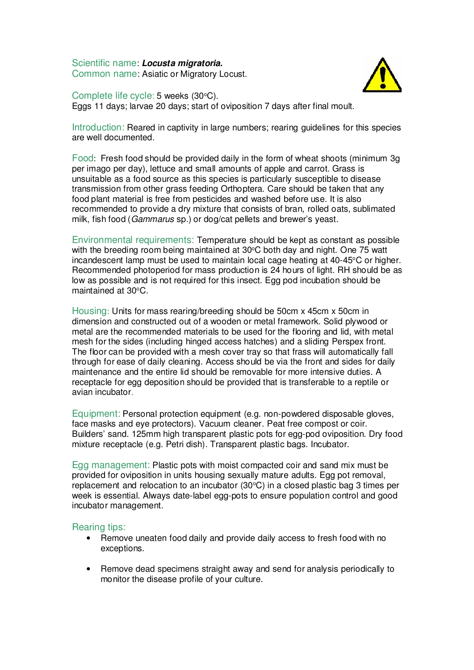Scientific name: **Locusta migratoria.** Common name: Asiatic or Migratory Locust.



Complete life cycle: 5 weeks (30°C). Eggs 11 days; larvae 20 days; start of oviposition 7 days after final moult.

Introduction: Reared in captivity in large numbers; rearing guidelines for this species are well documented.

Food: Fresh food should be provided daily in the form of wheat shoots (minimum 3g per imago per day), lettuce and small amounts of apple and carrot. Grass is unsuitable as a food source as this species is particularly susceptible to disease transmission from other grass feeding Orthoptera. Care should be taken that any food plant material is free from pesticides and washed before use. It is also recommended to provide a dry mixture that consists of bran, rolled oats, sublimated milk, fish food (Gammarus sp.) or dog/cat pellets and brewer's yeast.

Environmental requirements: Temperature should be kept as constant as possible with the breeding room being maintained at  $30^{\circ}$ C both day and night. One 75 watt incandescent lamp must be used to maintain local cage heating at  $40-45^{\circ}$ C or higher. Recommended photoperiod for mass production is 24 hours of light. RH should be as low as possible and is not required for this insect. Egg pod incubation should be maintained at  $30^{\circ}$ C.

Housing: Units for mass rearing/breeding should be 50cm x 45cm x 50cm in dimension and constructed out of a wooden or metal framework. Solid plywood or metal are the recommended materials to be used for the flooring and lid, with metal mesh for the sides (including hinged access hatches) and a sliding Perspex front. The floor can be provided with a mesh cover tray so that frass will automatically fall through for ease of daily cleaning. Access should be via the front and sides for daily maintenance and the entire lid should be removable for more intensive duties. A receptacle for egg deposition should be provided that is transferable to a reptile or avian incubator.

Equipment: Personal protection equipment (e.g. non-powdered disposable gloves, face masks and eye protectors). Vacuum cleaner. Peat free compost or coir. Builders' sand. 125mm high transparent plastic pots for egg-pod oviposition. Dry food mixture receptacle (e.g. Petri dish). Transparent plastic bags. Incubator.

Egg management: Plastic pots with moist compacted coir and sand mix must be provided for oviposition in units housing sexually mature adults. Egg pot removal, replacement and relocation to an incubator  $(30^{\circ}C)$  in a closed plastic bag 3 times per week is essential. Always date-label egg-pots to ensure population control and good incubator management.

- Remove uneaten food daily and provide daily access to fresh food with no exceptions.
- Remove dead specimens straight away and send for analysis periodically to monitor the disease profile of your culture.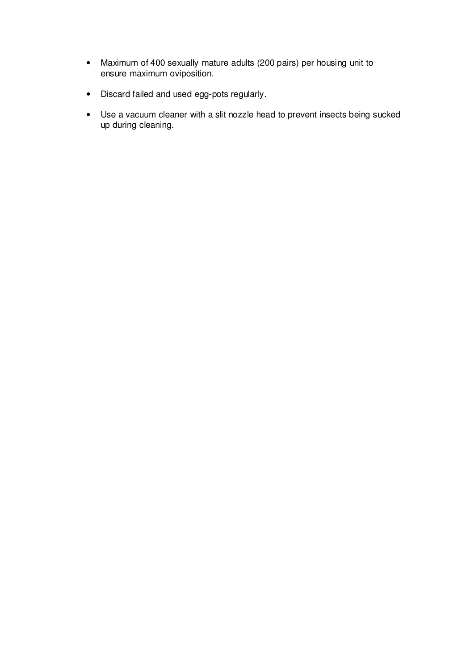- Maximum of 400 sexually mature adults (200 pairs) per housing unit to ensure maximum oviposition.
- Discard failed and used egg-pots regularly.
- Use a vacuum cleaner with a slit nozzle head to prevent insects being sucked up during cleaning.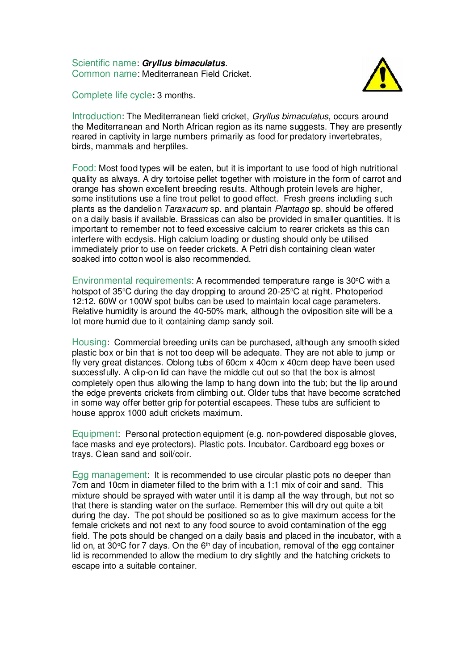Scientific name: **Gryllus bimaculatus**. Common name: Mediterranean Field Cricket.



Complete life cycle**:** 3 months.

Introduction: The Mediterranean field cricket, Gryllus bimaculatus, occurs around the Mediterranean and North African region as its name suggests. They are presently reared in captivity in large numbers primarily as food for predatory invertebrates, birds, mammals and herptiles.

Food: Most food types will be eaten, but it is important to use food of high nutritional quality as always. A dry tortoise pellet together with moisture in the form of carrot and orange has shown excellent breeding results. Although protein levels are higher, some institutions use a fine trout pellet to good effect. Fresh greens including such plants as the dandelion Taraxacum sp. and plantain Plantago sp. should be offered on a daily basis if available. Brassicas can also be provided in smaller quantities. It is important to remember not to feed excessive calcium to rearer crickets as this can interfere with ecdysis. High calcium loading or dusting should only be utilised immediately prior to use on feeder crickets. A Petri dish containing clean water soaked into cotton wool is also recommended.

Environmental requirements: A recommended temperature range is  $30^{\circ}$ C with a hotspot of 35 $\degree$ C during the day dropping to around 20-25 $\degree$ C at night. Photoperiod 12:12. 60W or 100W spot bulbs can be used to maintain local cage parameters. Relative humidity is around the 40-50% mark, although the oviposition site will be a lot more humid due to it containing damp sandy soil.

Housing: Commercial breeding units can be purchased, although any smooth sided plastic box or bin that is not too deep will be adequate. They are not able to jump or fly very great distances. Oblong tubs of 60cm x 40cm x 40cm deep have been used successfully. A clip-on lid can have the middle cut out so that the box is almost completely open thus allowing the lamp to hang down into the tub; but the lip around the edge prevents crickets from climbing out. Older tubs that have become scratched in some way offer better grip for potential escapees. These tubs are sufficient to house approx 1000 adult crickets maximum.

Equipment: Personal protection equipment (e.g. non-powdered disposable gloves, face masks and eye protectors). Plastic pots. Incubator. Cardboard egg boxes or trays. Clean sand and soil/coir.

Egg management: It is recommended to use circular plastic pots no deeper than 7cm and 10cm in diameter filled to the brim with a 1:1 mix of coir and sand. This mixture should be sprayed with water until it is damp all the way through, but not so that there is standing water on the surface. Remember this will dry out quite a bit during the day. The pot should be positioned so as to give maximum access for the female crickets and not next to any food source to avoid contamination of the egg field. The pots should be changed on a daily basis and placed in the incubator, with a lid on, at  $30^{\circ}$ C for 7 days. On the 6<sup>th</sup> day of incubation, removal of the egg container lid is recommended to allow the medium to dry slightly and the hatching crickets to escape into a suitable container.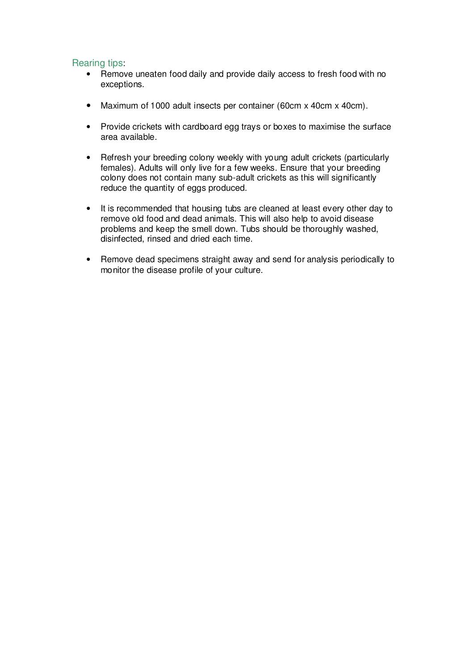- Remove uneaten food daily and provide daily access to fresh food with no exceptions.
- Maximum of 1000 adult insects per container (60cm x 40cm x 40cm).
- Provide crickets with cardboard egg trays or boxes to maximise the surface area available.
- Refresh your breeding colony weekly with young adult crickets (particularly females). Adults will only live for a few weeks. Ensure that your breeding colony does not contain many sub-adult crickets as this will significantly reduce the quantity of eggs produced.
- It is recommended that housing tubs are cleaned at least every other day to remove old food and dead animals. This will also help to avoid disease problems and keep the smell down. Tubs should be thoroughly washed, disinfected, rinsed and dried each time.
- Remove dead specimens straight away and send for analysis periodically to monitor the disease profile of your culture.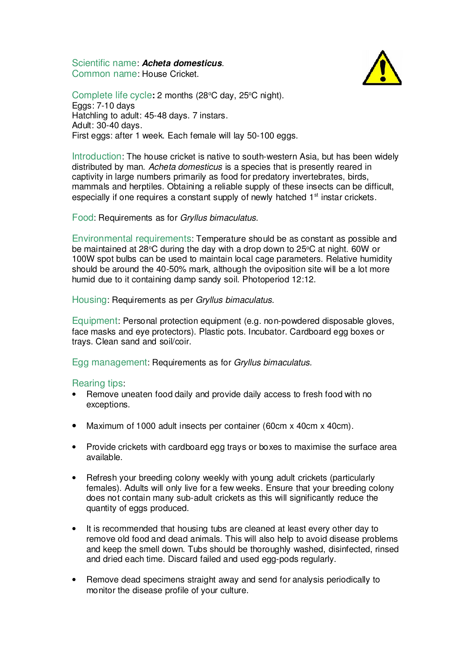Scientific name: **Acheta domesticus**. Common name: House Cricket.



Complete life cycle: 2 months (28<sup>o</sup>C day, 25<sup>o</sup>C night). Eggs: 7-10 days Hatchling to adult: 45-48 days. 7 instars. Adult: 30-40 days. First eggs: after 1 week. Each female will lay 50-100 eggs.

Introduction: The house cricket is native to south-western Asia, but has been widely distributed by man. Acheta domesticus is a species that is presently reared in captivity in large numbers primarily as food for predatory invertebrates, birds, mammals and herptiles. Obtaining a reliable supply of these insects can be difficult, especially if one requires a constant supply of newly hatched 1<sup>st</sup> instar crickets.

Food: Requirements as for Gryllus bimaculatus.

Environmental requirements: Temperature should be as constant as possible and be maintained at 28 $\degree$ C during the day with a drop down to 25 $\degree$ C at night. 60W or 100W spot bulbs can be used to maintain local cage parameters. Relative humidity should be around the 40-50% mark, although the oviposition site will be a lot more humid due to it containing damp sandy soil. Photoperiod 12:12.

Housing: Requirements as per Gryllus bimaculatus.

Equipment: Personal protection equipment (e.g. non-powdered disposable gloves, face masks and eye protectors). Plastic pots. Incubator. Cardboard egg boxes or trays. Clean sand and soil/coir.

Egg management: Requirements as for Gryllus bimaculatus.

- Remove uneaten food daily and provide daily access to fresh food with no exceptions.
- Maximum of 1000 adult insects per container (60cm x 40cm x 40cm).
- Provide crickets with cardboard egg trays or boxes to maximise the surface area available.
- Refresh your breeding colony weekly with young adult crickets (particularly females). Adults will only live for a few weeks. Ensure that your breeding colony does not contain many sub-adult crickets as this will significantly reduce the quantity of eggs produced.
- It is recommended that housing tubs are cleaned at least every other day to remove old food and dead animals. This will also help to avoid disease problems and keep the smell down. Tubs should be thoroughly washed, disinfected, rinsed and dried each time. Discard failed and used egg-pods regularly.
- Remove dead specimens straight away and send for analysis periodically to monitor the disease profile of your culture.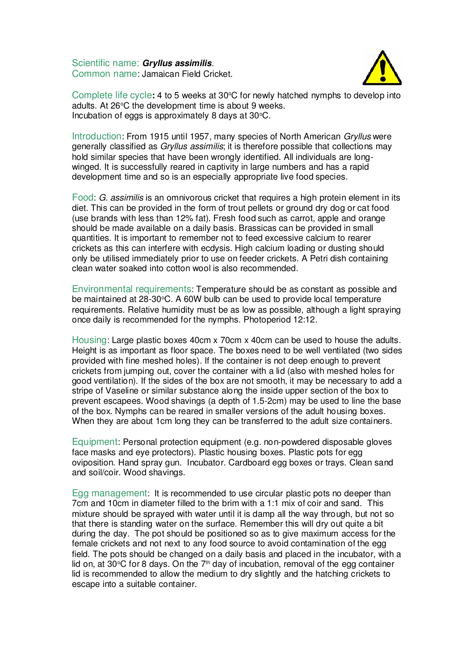Scientific name: **Gryllus assimilis**. Common name: Jamaican Field Cricket.



Complete life cycle: 4 to 5 weeks at 30<sup>o</sup>C for newly hatched nymphs to develop into adults. At  $26^{\circ}$ C the development time is about 9 weeks. Incubation of eggs is approximately  $8$  days at  $30^{\circ}$ C.

Introduction: From 1915 until 1957, many species of North American Gryllus were generally classified as Gryllus assimilis; it is therefore possible that collections may hold similar species that have been wrongly identified. All individuals are longwinged. It is successfully reared in captivity in large numbers and has a rapid development time and so is an especially appropriate live food species.

Food: G. assimilis is an omnivorous cricket that requires a high protein element in its diet. This can be provided in the form of trout pellets or ground dry dog or cat food (use brands with less than 12% fat). Fresh food such as carrot, apple and orange should be made available on a daily basis. Brassicas can be provided in small quantities. It is important to remember not to feed excessive calcium to rearer crickets as this can interfere with ecdysis. High calcium loading or dusting should only be utilised immediately prior to use on feeder crickets. A Petri dish containing clean water soaked into cotton wool is also recommended.

Environmental requirements: Temperature should be as constant as possible and be maintained at  $28-30^{\circ}$ C. A 60W bulb can be used to provide local temperature requirements. Relative humidity must be as low as possible, although a light spraying once daily is recommended for the nymphs. Photoperiod 12:12.

Housing: Large plastic boxes 40cm x 70cm x 40cm can be used to house the adults. Height is as important as floor space. The boxes need to be well ventilated (two sides provided with fine meshed holes). If the container is not deep enough to prevent crickets from jumping out, cover the container with a lid (also with meshed holes for good ventilation). If the sides of the box are not smooth, it may be necessary to add a stripe of Vaseline or similar substance along the inside upper section of the box to prevent escapees. Wood shavings (a depth of 1.5-2cm) may be used to line the base of the box. Nymphs can be reared in smaller versions of the adult housing boxes. When they are about 1cm long they can be transferred to the adult size containers.

Equipment: Personal protection equipment (e.g. non-powdered disposable gloves face masks and eye protectors). Plastic housing boxes. Plastic pots for egg oviposition. Hand spray gun. Incubator. Cardboard egg boxes or trays. Clean sand and soil/coir. Wood shavings.

Egg management: It is recommended to use circular plastic pots no deeper than 7cm and 10cm in diameter filled to the brim with a 1:1 mix of coir and sand. This mixture should be sprayed with water until it is damp all the way through, but not so that there is standing water on the surface. Remember this will dry out quite a bit during the day. The pot should be positioned so as to give maximum access for the female crickets and not next to any food source to avoid contamination of the egg field. The pots should be changed on a daily basis and placed in the incubator, with a lid on, at 30 $\degree$ C for 8 days. On the  $7<sup>th</sup>$  day of incubation, removal of the egg container lid is recommended to allow the medium to dry slightly and the hatching crickets to escape into a suitable container.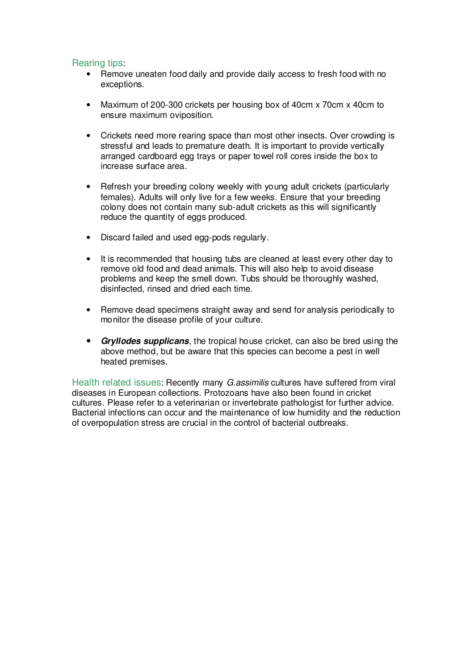## Rearing tips:

- Remove uneaten food daily and provide daily access to fresh food with no exceptions.
- Maximum of 200-300 crickets per housing box of 40cm x 70cm x 40cm to ensure maximum oviposition.
- Crickets need more rearing space than most other insects. Over crowding is stressful and leads to premature death. It is important to provide vertically arranged cardboard egg trays or paper towel roll cores inside the box to increase surface area.
- Refresh your breeding colony weekly with young adult crickets (particularly females). Adults will only live for a few weeks. Ensure that your breeding colony does not contain many sub-adult crickets as this will significantly reduce the quantity of eggs produced.
- Discard failed and used egg-pods regularly.
- It is recommended that housing tubs are cleaned at least every other day to remove old food and dead animals. This will also help to avoid disease problems and keep the smell down. Tubs should be thoroughly washed, disinfected, rinsed and dried each time.
- Remove dead specimens straight away and send for analysis periodically to monitor the disease profile of your culture.
- **Gryllodes supplicans**, the tropical house cricket, can also be bred using the above method, but be aware that this species can become a pest in well heated premises.

Health related issues: Recently many *G.assimilis* cultures have suffered from viral diseases in European collections. Protozoans have also been found in cricket cultures. Please refer to a veterinarian or invertebrate pathologist for further advice. Bacterial infections can occur and the maintenance of low humidity and the reduction of overpopulation stress are crucial in the control of bacterial outbreaks.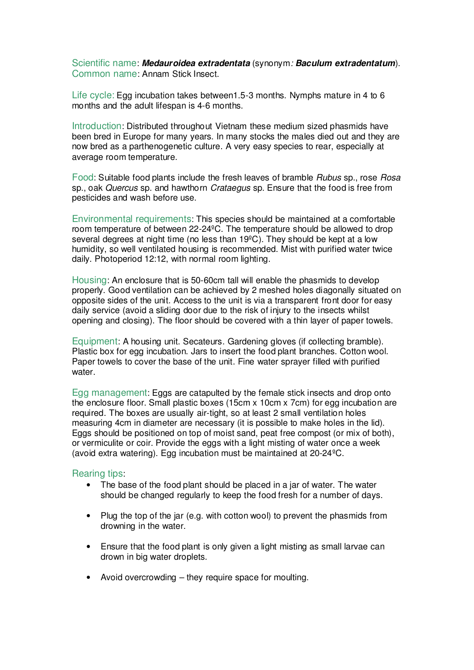Scientific name: **Medauroidea extradentata** (synonym: **Baculum extradentatum**). Common name: Annam Stick Insect.

Life cycle: Egg incubation takes between1.5-3 months. Nymphs mature in 4 to 6 months and the adult lifespan is 4-6 months.

Introduction: Distributed throughout Vietnam these medium sized phasmids have been bred in Europe for many years. In many stocks the males died out and they are now bred as a parthenogenetic culture. A very easy species to rear, especially at average room temperature.

Food: Suitable food plants include the fresh leaves of bramble Rubus sp., rose Rosa sp., oak Quercus sp. and hawthorn Crataegus sp. Ensure that the food is free from pesticides and wash before use.

Environmental requirements: This species should be maintained at a comfortable room temperature of between 22-24ºC. The temperature should be allowed to drop several degrees at night time (no less than 19°C). They should be kept at a low humidity, so well ventilated housing is recommended. Mist with purified water twice daily. Photoperiod 12:12, with normal room lighting.

Housing: An enclosure that is 50-60cm tall will enable the phasmids to develop properly. Good ventilation can be achieved by 2 meshed holes diagonally situated on opposite sides of the unit. Access to the unit is via a transparent front door for easy daily service (avoid a sliding door due to the risk of injury to the insects whilst opening and closing). The floor should be covered with a thin layer of paper towels.

Equipment: A housing unit. Secateurs. Gardening gloves (if collecting bramble). Plastic box for egg incubation. Jars to insert the food plant branches. Cotton wool. Paper towels to cover the base of the unit. Fine water sprayer filled with purified water.

Egg management: Eggs are catapulted by the female stick insects and drop onto the enclosure floor. Small plastic boxes (15cm x 10cm x 7cm) for egg incubation are required. The boxes are usually air-tight, so at least 2 small ventilation holes measuring 4cm in diameter are necessary (it is possible to make holes in the lid). Eggs should be positioned on top of moist sand, peat free compost (or mix of both), or vermiculite or coir. Provide the eggs with a light misting of water once a week (avoid extra watering). Egg incubation must be maintained at 20-24ºC.

- The base of the food plant should be placed in a jar of water. The water should be changed regularly to keep the food fresh for a number of days.
- Plug the top of the jar (e.g. with cotton wool) to prevent the phasmids from drowning in the water.
- Ensure that the food plant is only given a light misting as small larvae can drown in big water droplets.
- Avoid overcrowding they require space for moulting.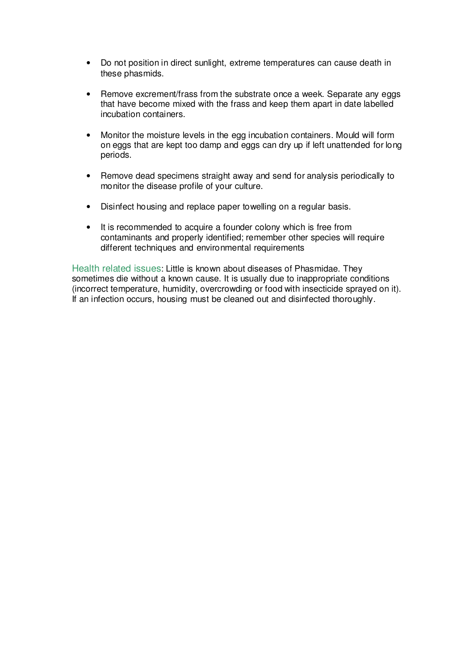- Do not position in direct sunlight, extreme temperatures can cause death in these phasmids.
- Remove excrement/frass from the substrate once a week. Separate any eggs that have become mixed with the frass and keep them apart in date labelled incubation containers.
- Monitor the moisture levels in the egg incubation containers. Mould will form on eggs that are kept too damp and eggs can dry up if left unattended for long periods.
- Remove dead specimens straight away and send for analysis periodically to monitor the disease profile of your culture.
- Disinfect housing and replace paper towelling on a regular basis.
- It is recommended to acquire a founder colony which is free from contaminants and properly identified; remember other species will require different techniques and environmental requirements

Health related issues: Little is known about diseases of Phasmidae. They sometimes die without a known cause. It is usually due to inappropriate conditions (incorrect temperature, humidity, overcrowding or food with insecticide sprayed on it). If an infection occurs, housing must be cleaned out and disinfected thoroughly.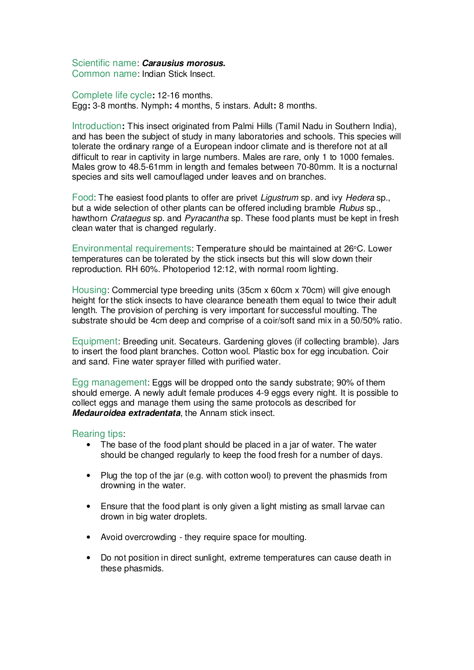## Scientific name: **Carausius morosus.**

Common name: Indian Stick Insect.

Complete life cycle**:** 12-16 months. Egg**:** 3-8 months. Nymph**:** 4 months, 5 instars. Adult**:** 8 months.

Introduction**:** This insect originated from Palmi Hills (Tamil Nadu in Southern India), and has been the subject of study in many laboratories and schools. This species will tolerate the ordinary range of a European indoor climate and is therefore not at all difficult to rear in captivity in large numbers. Males are rare, only 1 to 1000 females. Males grow to 48.5-61mm in length and females between 70-80mm. It is a nocturnal species and sits well camouflaged under leaves and on branches.

Food: The easiest food plants to offer are privet Ligustrum sp. and ivy Hedera sp., but a wide selection of other plants can be offered including bramble Rubus sp., hawthorn *Crataegus* sp. and *Pyracantha* sp. These food plants must be kept in fresh clean water that is changed regularly.

Environmental requirements: Temperature should be maintained at 26°C. Lower temperatures can be tolerated by the stick insects but this will slow down their reproduction. RH 60%. Photoperiod 12:12, with normal room lighting.

Housing: Commercial type breeding units (35cm x 60cm x 70cm) will give enough height for the stick insects to have clearance beneath them equal to twice their adult length. The provision of perching is very important for successful moulting. The substrate should be 4cm deep and comprise of a coir/soft sand mix in a 50/50% ratio.

Equipment: Breeding unit. Secateurs. Gardening gloves (if collecting bramble). Jars to insert the food plant branches. Cotton wool. Plastic box for egg incubation. Coir and sand. Fine water sprayer filled with purified water.

Egg management: Eggs will be dropped onto the sandy substrate; 90% of them should emerge. A newly adult female produces 4-9 eggs every night. It is possible to collect eggs and manage them using the same protocols as described for **Medauroidea extradentata**, the Annam stick insect.

- The base of the food plant should be placed in a jar of water. The water should be changed regularly to keep the food fresh for a number of days.
- Plug the top of the jar (e.g. with cotton wool) to prevent the phasmids from drowning in the water.
- Ensure that the food plant is only given a light misting as small larvae can drown in big water droplets.
- Avoid overcrowding they require space for moulting.
- Do not position in direct sunlight, extreme temperatures can cause death in these phasmids.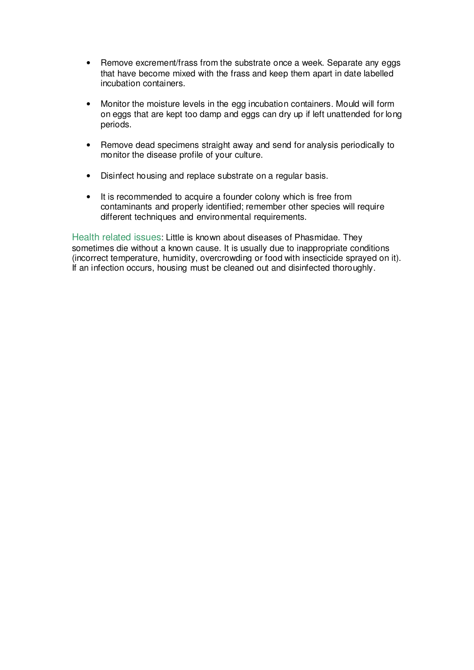- Remove excrement/frass from the substrate once a week. Separate any eggs that have become mixed with the frass and keep them apart in date labelled incubation containers.
- Monitor the moisture levels in the egg incubation containers. Mould will form on eggs that are kept too damp and eggs can dry up if left unattended for long periods.
- Remove dead specimens straight away and send for analysis periodically to monitor the disease profile of your culture.
- Disinfect housing and replace substrate on a regular basis.
- It is recommended to acquire a founder colony which is free from contaminants and properly identified; remember other species will require different techniques and environmental requirements.

Health related issues: Little is known about diseases of Phasmidae. They sometimes die without a known cause. It is usually due to inappropriate conditions (incorrect temperature, humidity, overcrowding or food with insecticide sprayed on it). If an infection occurs, housing must be cleaned out and disinfected thoroughly.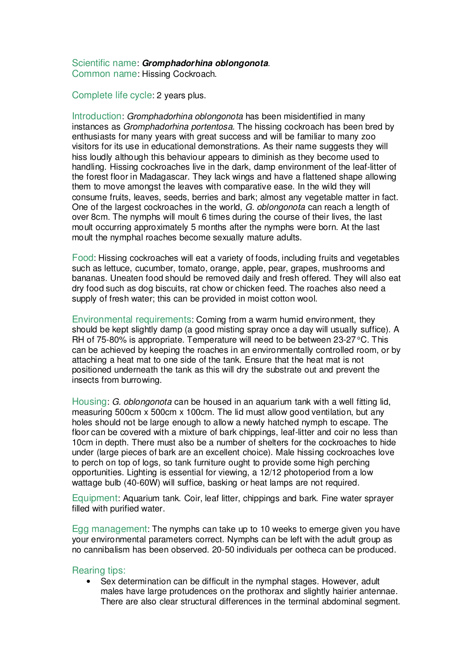# Scientific name: **Gromphadorhina oblongonota**.

Common name: Hissing Cockroach.

Complete life cycle: 2 years plus.

Introduction: Gromphadorhina oblongonota has been misidentified in many instances as Gromphadorhina portentosa. The hissing cockroach has been bred by enthusiasts for many years with great success and will be familiar to many zoo visitors for its use in educational demonstrations. As their name suggests they will hiss loudly although this behaviour appears to diminish as they become used to handling. Hissing cockroaches live in the dark, damp environment of the leaf-litter of the forest floor in Madagascar. They lack wings and have a flattened shape allowing them to move amongst the leaves with comparative ease. In the wild they will consume fruits, leaves, seeds, berries and bark; almost any vegetable matter in fact. One of the largest cockroaches in the world, G. oblongonota can reach a length of over 8cm. The nymphs will moult 6 times during the course of their lives, the last moult occurring approximately 5 months after the nymphs were born. At the last moult the nymphal roaches become sexually mature adults.

Food: Hissing cockroaches will eat a variety of foods, including fruits and vegetables such as lettuce, cucumber, tomato, orange, apple, pear, grapes, mushrooms and bananas. Uneaten food should be removed daily and fresh offered. They will also eat dry food such as dog biscuits, rat chow or chicken feed. The roaches also need a supply of fresh water; this can be provided in moist cotton wool.

Environmental requirements: Coming from a warm humid environment, they should be kept slightly damp (a good misting spray once a day will usually suffice). A RH of  $75-80\%$  is appropriate. Temperature will need to be between  $23-27\,^{\circ}\text{C}$ . This can be achieved by keeping the roaches in an environmentally controlled room, or by attaching a heat mat to one side of the tank. Ensure that the heat mat is not positioned underneath the tank as this will dry the substrate out and prevent the insects from burrowing.

Housing: G. oblongonota can be housed in an aquarium tank with a well fitting lid, measuring 500cm x 500cm x 100cm. The lid must allow good ventilation, but any holes should not be large enough to allow a newly hatched nymph to escape. The floor can be covered with a mixture of bark chippings, leaf-litter and coir no less than 10cm in depth. There must also be a number of shelters for the cockroaches to hide under (large pieces of bark are an excellent choice). Male hissing cockroaches love to perch on top of logs, so tank furniture ought to provide some high perching opportunities. Lighting is essential for viewing, a 12/12 photoperiod from a low wattage bulb (40-60W) will suffice, basking or heat lamps are not required.

Equipment: Aquarium tank. Coir, leaf litter, chippings and bark. Fine water sprayer filled with purified water.

Egg management: The nymphs can take up to 10 weeks to emerge given you have your environmental parameters correct. Nymphs can be left with the adult group as no cannibalism has been observed. 20-50 individuals per ootheca can be produced.

#### Rearing tips:

• Sex determination can be difficult in the nymphal stages. However, adult males have large protudences on the prothorax and slightly hairier antennae. There are also clear structural differences in the terminal abdominal segment.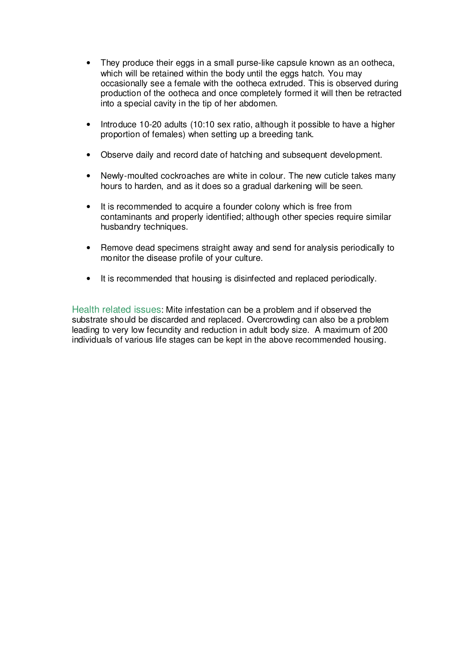- They produce their eggs in a small purse-like capsule known as an ootheca, which will be retained within the body until the eggs hatch. You may occasionally see a female with the ootheca extruded. This is observed during production of the ootheca and once completely formed it will then be retracted into a special cavity in the tip of her abdomen.
- Introduce 10-20 adults (10:10 sex ratio, although it possible to have a higher proportion of females) when setting up a breeding tank.
- Observe daily and record date of hatching and subsequent development.
- Newly-moulted cockroaches are white in colour. The new cuticle takes many hours to harden, and as it does so a gradual darkening will be seen.
- It is recommended to acquire a founder colony which is free from contaminants and properly identified; although other species require similar husbandry techniques.
- Remove dead specimens straight away and send for analysis periodically to monitor the disease profile of your culture.
- It is recommended that housing is disinfected and replaced periodically.

Health related issues: Mite infestation can be a problem and if observed the substrate should be discarded and replaced. Overcrowding can also be a problem leading to very low fecundity and reduction in adult body size. A maximum of 200 individuals of various life stages can be kept in the above recommended housing.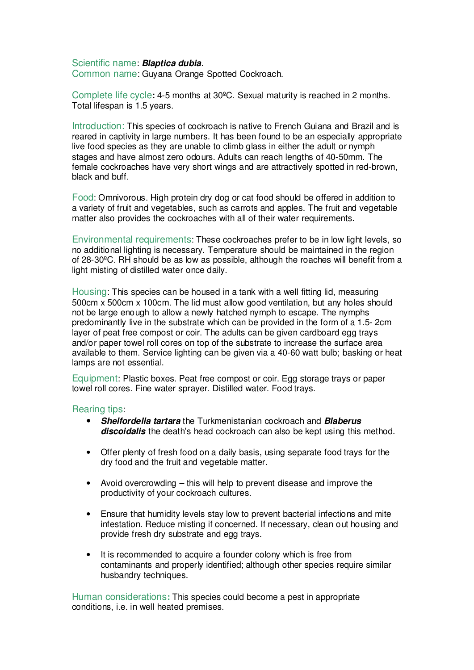#### Scientific name: **Blaptica dubia**.

Common name: Guyana Orange Spotted Cockroach.

Complete life cycle**:** 4-5 months at 30ºC. Sexual maturity is reached in 2 months. Total lifespan is 1.5 years.

Introduction: This species of cockroach is native to French Guiana and Brazil and is reared in captivity in large numbers. It has been found to be an especially appropriate live food species as they are unable to climb glass in either the adult or nymph stages and have almost zero odours. Adults can reach lengths of 40-50mm. The female cockroaches have very short wings and are attractively spotted in red-brown, black and buff.

Food: Omnivorous. High protein dry dog or cat food should be offered in addition to a variety of fruit and vegetables, such as carrots and apples. The fruit and vegetable matter also provides the cockroaches with all of their water requirements.

Environmental requirements: These cockroaches prefer to be in low light levels, so no additional lighting is necessary. Temperature should be maintained in the region of 28-30ºC. RH should be as low as possible, although the roaches will benefit from a light misting of distilled water once daily.

Housing: This species can be housed in a tank with a well fitting lid, measuring 500cm x 500cm x 100cm. The lid must allow good ventilation, but any holes should not be large enough to allow a newly hatched nymph to escape. The nymphs predominantly live in the substrate which can be provided in the form of a 1.5- 2cm layer of peat free compost or coir. The adults can be given cardboard egg trays and/or paper towel roll cores on top of the substrate to increase the surface area available to them. Service lighting can be given via a 40-60 watt bulb; basking or heat lamps are not essential.

Equipment: Plastic boxes. Peat free compost or coir. Egg storage trays or paper towel roll cores. Fine water sprayer. Distilled water. Food trays.

#### Rearing tips:

- **Shelfordella tartara** the Turkmenistanian cockroach and **Blaberus discoidalis** the death's head cockroach can also be kept using this method.
- Offer plenty of fresh food on a daily basis, using separate food trays for the dry food and the fruit and vegetable matter.
- Avoid overcrowding this will help to prevent disease and improve the productivity of your cockroach cultures.
- Ensure that humidity levels stay low to prevent bacterial infections and mite infestation. Reduce misting if concerned. If necessary, clean out housing and provide fresh dry substrate and egg trays.
- It is recommended to acquire a founder colony which is free from contaminants and properly identified; although other species require similar husbandry techniques.

Human considerations**:** This species could become a pest in appropriate conditions, i.e. in well heated premises.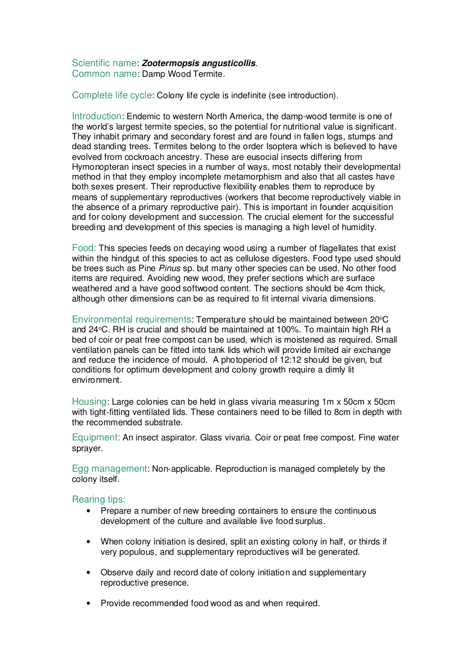# Scientific name: **Zootermopsis angusticollis**.

Common name: Damp Wood Termite.

Complete life cycle: Colony life cycle is indefinite (see introduction).

Introduction: Endemic to western North America, the damp-wood termite is one of the world's largest termite species, so the potential for nutritional value is significant. They inhabit primary and secondary forest and are found in fallen logs, stumps and dead standing trees. Termites belong to the order Isoptera which is believed to have evolved from cockroach ancestry. These are eusocial insects differing from Hymonopteran insect species in a number of ways, most notably their developmental method in that they employ incomplete metamorphism and also that all castes have both sexes present. Their reproductive flexibility enables them to reproduce by means of supplementary reproductives (workers that become reproductively viable in the absence of a primary reproductive pair). This is important in founder acquisition and for colony development and succession. The crucial element for the successful breeding and development of this species is managing a high level of humidity.

Food: This species feeds on decaying wood using a number of flagellates that exist within the hindgut of this species to act as cellulose digesters. Food type used should be trees such as Pine *Pinus* sp. but many other species can be used. No other food items are required. Avoiding new wood, they prefer sections which are surface weathered and a have good softwood content. The sections should be 4cm thick, although other dimensions can be as required to fit internal vivaria dimensions.

Environmental requirements: Temperature should be maintained between 20°C and 24 °C. RH is crucial and should be maintained at 100%. To maintain high RH a bed of coir or peat free compost can be used, which is moistened as required. Small ventilation panels can be fitted into tank lids which will provide limited air exchange and reduce the incidence of mould. A photoperiod of 12:12 should be given, but conditions for optimum development and colony growth require a dimly lit environment.

Housing: Large colonies can be held in glass vivaria measuring 1m x 50cm x 50cm with tight-fitting ventilated lids. These containers need to be filled to 8cm in depth with the recommended substrate.

Equipment: An insect aspirator. Glass vivaria. Coir or peat free compost. Fine water sprayer.

Egg management: Non-applicable. Reproduction is managed completely by the colony itself.

- Prepare a number of new breeding containers to ensure the continuous development of the culture and available live food surplus.
- When colony initiation is desired, split an existing colony in half, or thirds if very populous, and supplementary reproductives will be generated.
- Observe daily and record date of colony initiation and supplementary reproductive presence.
- Provide recommended food wood as and when required.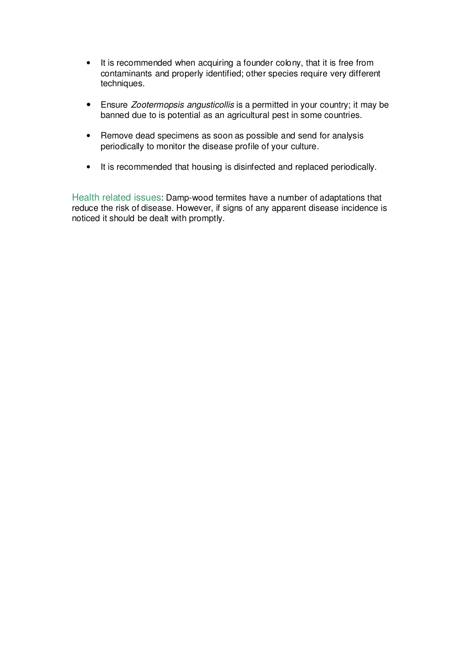- It is recommended when acquiring a founder colony, that it is free from contaminants and properly identified; other species require very different techniques.
- Ensure Zootermopsis angusticollis is a permitted in your country; it may be banned due to is potential as an agricultural pest in some countries.
- Remove dead specimens as soon as possible and send for analysis periodically to monitor the disease profile of your culture.
- It is recommended that housing is disinfected and replaced periodically.

Health related issues: Damp-wood termites have a number of adaptations that reduce the risk of disease. However, if signs of any apparent disease incidence is noticed it should be dealt with promptly.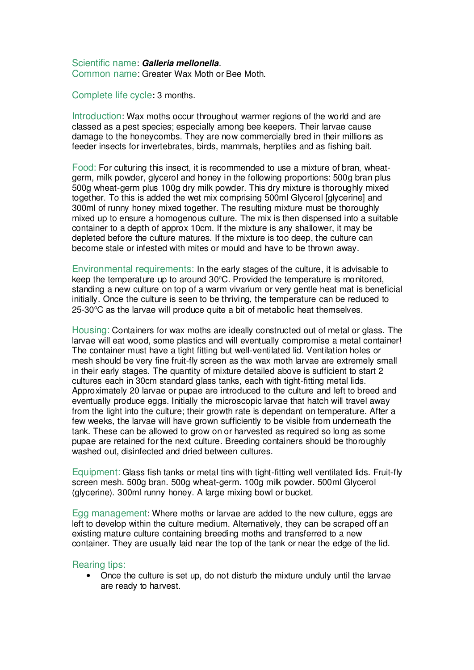#### Scientific name: **Galleria mellonella**. Common name: Greater Wax Moth or Bee Moth.

Complete life cycle**:** 3 months.

Introduction: Wax moths occur throughout warmer regions of the world and are classed as a pest species; especially among bee keepers. Their larvae cause damage to the honeycombs. They are now commercially bred in their millions as feeder insects for invertebrates, birds, mammals, herptiles and as fishing bait.

Food: For culturing this insect, it is recommended to use a mixture of bran, wheatgerm, milk powder, glycerol and honey in the following proportions: 500g bran plus 500g wheat-germ plus 100g dry milk powder. This dry mixture is thoroughly mixed together. To this is added the wet mix comprising 500ml Glycerol [glycerine] and 300ml of runny honey mixed together. The resulting mixture must be thoroughly mixed up to ensure a homogenous culture. The mix is then dispensed into a suitable container to a depth of approx 10cm. If the mixture is any shallower, it may be depleted before the culture matures. If the mixture is too deep, the culture can become stale or infested with mites or mould and have to be thrown away.

Environmental requirements: In the early stages of the culture, it is advisable to keep the temperature up to around  $30^{\circ}$ C. Provided the temperature is monitored, standing a new culture on top of a warm vivarium or very gentle heat mat is beneficial initially. Once the culture is seen to be thriving, the temperature can be reduced to  $25-30^{\circ}$ C as the larvae will produce quite a bit of metabolic heat themselves.

Housing: Containers for wax moths are ideally constructed out of metal or glass. The larvae will eat wood, some plastics and will eventually compromise a metal container! The container must have a tight fitting but well-ventilated lid. Ventilation holes or mesh should be very fine fruit-fly screen as the wax moth larvae are extremely small in their early stages. The quantity of mixture detailed above is sufficient to start 2 cultures each in 30cm standard glass tanks, each with tight-fitting metal lids. Approximately 20 larvae or pupae are introduced to the culture and left to breed and eventually produce eggs. Initially the microscopic larvae that hatch will travel away from the light into the culture; their growth rate is dependant on temperature. After a few weeks, the larvae will have grown sufficiently to be visible from underneath the tank. These can be allowed to grow on or harvested as required so long as some pupae are retained for the next culture. Breeding containers should be thoroughly washed out, disinfected and dried between cultures.

Equipment: Glass fish tanks or metal tins with tight-fitting well ventilated lids. Fruit-fly screen mesh. 500g bran. 500g wheat-germ. 100g milk powder. 500ml Glycerol (glycerine). 300ml runny honey. A large mixing bowl or bucket.

Egg management: Where moths or larvae are added to the new culture, eggs are left to develop within the culture medium. Alternatively, they can be scraped off an existing mature culture containing breeding moths and transferred to a new container. They are usually laid near the top of the tank or near the edge of the lid.

#### Rearing tips:

• Once the culture is set up, do not disturb the mixture unduly until the larvae are ready to harvest.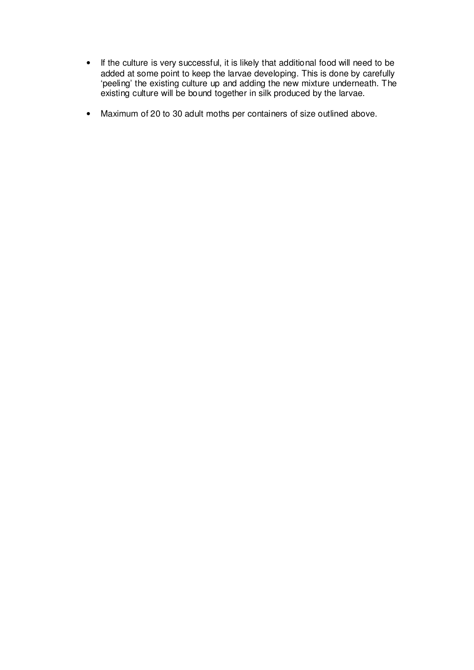- If the culture is very successful, it is likely that additional food will need to be added at some point to keep the larvae developing. This is done by carefully 'peeling' the existing culture up and adding the new mixture underneath. The existing culture will be bound together in silk produced by the larvae.
- Maximum of 20 to 30 adult moths per containers of size outlined above.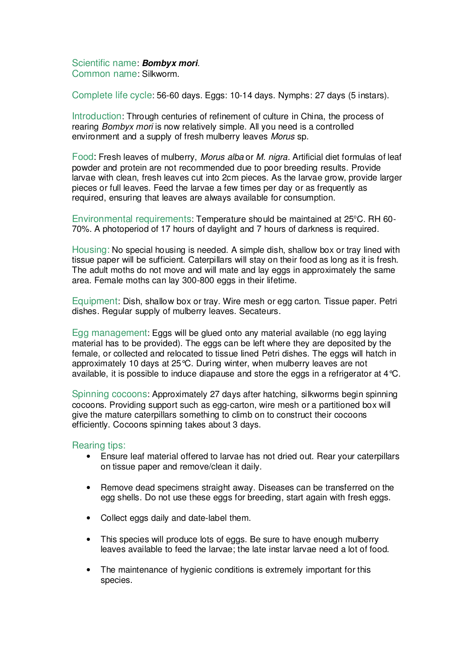Scientific name: **Bombyx mori**. Common name: Silkworm.

Complete life cycle: 56-60 days. Eggs: 10-14 days. Nymphs: 27 days (5 instars).

Introduction: Through centuries of refinement of culture in China, the process of rearing Bombyx mori is now relatively simple. All you need is a controlled environment and a supply of fresh mulberry leaves Morus sp.

Food: Fresh leaves of mulberry, Morus alba or M. nigra. Artificial diet formulas of leaf powder and protein are not recommended due to poor breeding results. Provide larvae with clean, fresh leaves cut into 2cm pieces. As the larvae grow, provide larger pieces or full leaves. Feed the larvae a few times per day or as frequently as required, ensuring that leaves are always available for consumption.

Environmental requirements: Temperature should be maintained at 25°C. RH 60-70%. A photoperiod of 17 hours of daylight and 7 hours of darkness is required.

Housing: No special housing is needed. A simple dish, shallow box or tray lined with tissue paper will be sufficient. Caterpillars will stay on their food as long as it is fresh. The adult moths do not move and will mate and lay eggs in approximately the same area. Female moths can lay 300-800 eggs in their lifetime.

Equipment: Dish, shallow box or tray. Wire mesh or egg carton. Tissue paper. Petri dishes. Regular supply of mulberry leaves. Secateurs.

Egg management: Eggs will be glued onto any material available (no egg laying material has to be provided). The eggs can be left where they are deposited by the female, or collected and relocated to tissue lined Petri dishes. The eggs will hatch in approximately 10 days at 25°C. During winter, when mulberry leaves are not available, it is possible to induce diapause and store the eggs in a refrigerator at  $4^{\circ}$ C.

Spinning cocoons: Approximately 27 days after hatching, silkworms begin spinning cocoons. Providing support such as egg-carton, wire mesh or a partitioned box will give the mature caterpillars something to climb on to construct their cocoons efficiently. Cocoons spinning takes about 3 days.

- Ensure leaf material offered to larvae has not dried out. Rear your caterpillars on tissue paper and remove/clean it daily.
- Remove dead specimens straight away. Diseases can be transferred on the egg shells. Do not use these eggs for breeding, start again with fresh eggs.
- Collect eggs daily and date-label them.
- This species will produce lots of eggs. Be sure to have enough mulberry leaves available to feed the larvae; the late instar larvae need a lot of food.
- The maintenance of hygienic conditions is extremely important for this species.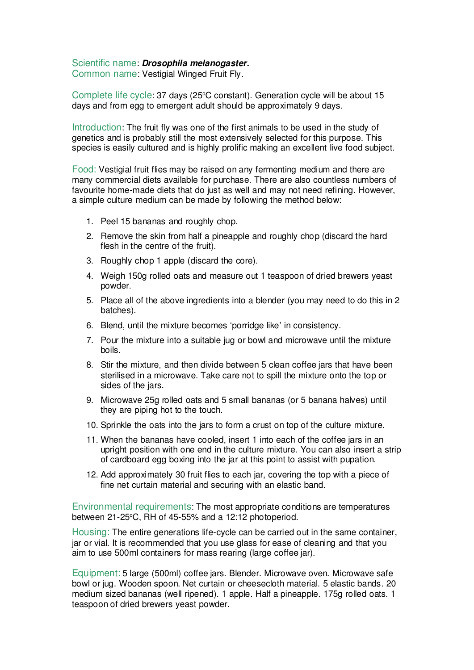## Scientific name: **Drosophila melanogaster.**

Common name: Vestigial Winged Fruit Fly.

Complete life cycle: 37 days (25°C constant). Generation cycle will be about 15 days and from egg to emergent adult should be approximately 9 days.

Introduction: The fruit fly was one of the first animals to be used in the study of genetics and is probably still the most extensively selected for this purpose. This species is easily cultured and is highly prolific making an excellent live food subject.

Food: Vestigial fruit flies may be raised on any fermenting medium and there are many commercial diets available for purchase. There are also countless numbers of favourite home-made diets that do just as well and may not need refining. However, a simple culture medium can be made by following the method below:

- 1. Peel 15 bananas and roughly chop.
- 2. Remove the skin from half a pineapple and roughly chop (discard the hard flesh in the centre of the fruit).
- 3. Roughly chop 1 apple (discard the core).
- 4. Weigh 150g rolled oats and measure out 1 teaspoon of dried brewers yeast powder.
- 5. Place all of the above ingredients into a blender (you may need to do this in 2 batches).
- 6. Blend, until the mixture becomes 'porridge like' in consistency.
- 7. Pour the mixture into a suitable jug or bowl and microwave until the mixture boils.
- 8. Stir the mixture, and then divide between 5 clean coffee jars that have been sterilised in a microwave. Take care not to spill the mixture onto the top or sides of the jars.
- 9. Microwave 25g rolled oats and 5 small bananas (or 5 banana halves) until they are piping hot to the touch.
- 10. Sprinkle the oats into the jars to form a crust on top of the culture mixture.
- 11. When the bananas have cooled, insert 1 into each of the coffee jars in an upright position with one end in the culture mixture. You can also insert a strip of cardboard egg boxing into the jar at this point to assist with pupation.
- 12. Add approximately 30 fruit flies to each jar, covering the top with a piece of fine net curtain material and securing with an elastic band.

Environmental requirements: The most appropriate conditions are temperatures between  $21-25$ °C, RH of 45-55% and a 12:12 photoperiod.

Housing: The entire generations life-cycle can be carried out in the same container, jar or vial. It is recommended that you use glass for ease of cleaning and that you aim to use 500ml containers for mass rearing (large coffee jar).

Equipment: 5 large (500ml) coffee jars. Blender. Microwave oven. Microwave safe bowl or jug. Wooden spoon. Net curtain or cheesecloth material. 5 elastic bands. 20 medium sized bananas (well ripened). 1 apple. Half a pineapple. 175g rolled oats. 1 teaspoon of dried brewers yeast powder.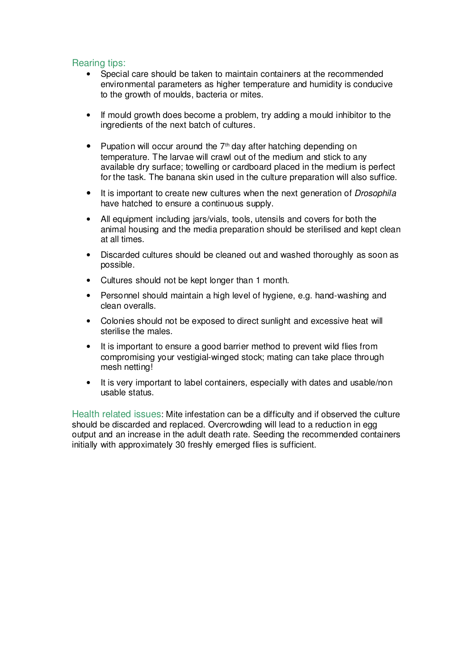# Rearing tips:

- Special care should be taken to maintain containers at the recommended environmental parameters as higher temperature and humidity is conducive to the growth of moulds, bacteria or mites.
- If mould growth does become a problem, try adding a mould inhibitor to the ingredients of the next batch of cultures.
- Pupation will occur around the  $7<sup>th</sup>$  day after hatching depending on temperature. The larvae will crawl out of the medium and stick to any available dry surface; towelling or cardboard placed in the medium is perfect for the task. The banana skin used in the culture preparation will also suffice.
- It is important to create new cultures when the next generation of *Drosophila* have hatched to ensure a continuous supply.
- All equipment including jars/vials, tools, utensils and covers for both the animal housing and the media preparation should be sterilised and kept clean at all times.
- Discarded cultures should be cleaned out and washed thoroughly as soon as possible.
- Cultures should not be kept longer than 1 month.
- Personnel should maintain a high level of hygiene, e.g. hand-washing and clean overalls.
- Colonies should not be exposed to direct sunlight and excessive heat will sterilise the males.
- It is important to ensure a good barrier method to prevent wild flies from compromising your vestigial-winged stock; mating can take place through mesh netting!
- It is very important to label containers, especially with dates and usable/non usable status.

Health related issues: Mite infestation can be a difficulty and if observed the culture should be discarded and replaced. Overcrowding will lead to a reduction in egg output and an increase in the adult death rate. Seeding the recommended containers initially with approximately 30 freshly emerged flies is sufficient.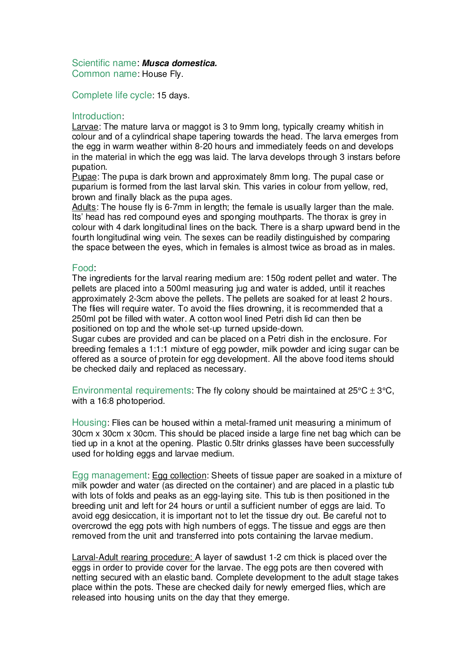#### Scientific name: **Musca domestica.** Common name: House Fly.

Complete life cycle: 15 days.

#### Introduction:

Larvae: The mature larva or maggot is 3 to 9mm long, typically creamy whitish in colour and of a cylindrical shape tapering towards the head. The larva emerges from the egg in warm weather within 8-20 hours and immediately feeds on and develops in the material in which the egg was laid. The larva develops through 3 instars before pupation.

Pupae: The pupa is dark brown and approximately 8mm long. The pupal case or puparium is formed from the last larval skin. This varies in colour from yellow, red, brown and finally black as the pupa ages.

Adults: The house fly is 6-7mm in length; the female is usually larger than the male. Its' head has red compound eyes and sponging mouthparts. The thorax is grey in colour with 4 dark longitudinal lines on the back. There is a sharp upward bend in the fourth longitudinal wing vein. The sexes can be readily distinguished by comparing the space between the eyes, which in females is almost twice as broad as in males.

#### Food:

The ingredients for the larval rearing medium are: 150g rodent pellet and water. The pellets are placed into a 500ml measuring jug and water is added, until it reaches approximately 2-3cm above the pellets. The pellets are soaked for at least 2 hours. The flies will require water. To avoid the flies drowning, it is recommended that a 250ml pot be filled with water. A cotton wool lined Petri dish lid can then be positioned on top and the whole set-up turned upside-down.

Sugar cubes are provided and can be placed on a Petri dish in the enclosure. For breeding females a 1:1:1 mixture of egg powder, milk powder and icing sugar can be offered as a source of protein for egg development. All the above food items should be checked daily and replaced as necessary.

Environmental requirements: The fly colony should be maintained at  $25^{\circ}$ C  $\pm$  3°C, with a 16:8 photoperiod.

Housing: Flies can be housed within a metal-framed unit measuring a minimum of 30cm x 30cm x 30cm. This should be placed inside a large fine net bag which can be tied up in a knot at the opening. Plastic 0.5ltr drinks glasses have been successfully used for holding eggs and larvae medium.

Egg management: Egg collection: Sheets of tissue paper are soaked in a mixture of milk powder and water (as directed on the container) and are placed in a plastic tub with lots of folds and peaks as an egg-laying site. This tub is then positioned in the breeding unit and left for 24 hours or until a sufficient number of eggs are laid. To avoid egg desiccation, it is important not to let the tissue dry out. Be careful not to overcrowd the egg pots with high numbers of eggs. The tissue and eggs are then removed from the unit and transferred into pots containing the larvae medium.

Larval-Adult rearing procedure: A layer of sawdust 1-2 cm thick is placed over the eggs in order to provide cover for the larvae. The egg pots are then covered with netting secured with an elastic band. Complete development to the adult stage takes place within the pots. These are checked daily for newly emerged flies, which are released into housing units on the day that they emerge.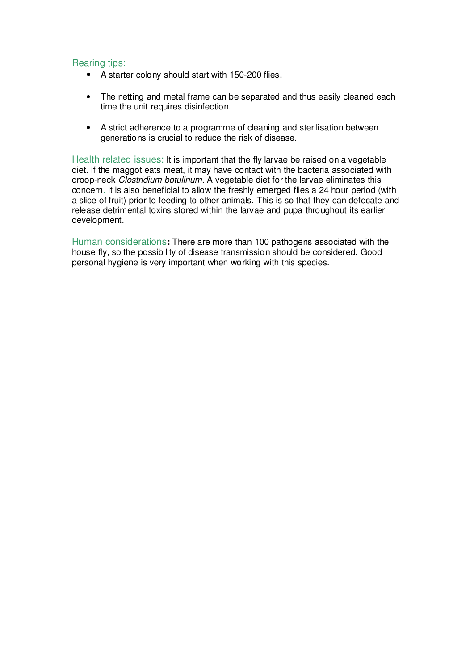# Rearing tips:

- A starter colony should start with 150-200 flies.
- The netting and metal frame can be separated and thus easily cleaned each time the unit requires disinfection.
- A strict adherence to a programme of cleaning and sterilisation between generations is crucial to reduce the risk of disease.

Health related issues: It is important that the fly larvae be raised on a vegetable diet. If the maggot eats meat, it may have contact with the bacteria associated with droop-neck Clostridium botulinum. A vegetable diet for the larvae eliminates this concern. It is also beneficial to allow the freshly emerged flies a 24 hour period (with a slice of fruit) prior to feeding to other animals. This is so that they can defecate and release detrimental toxins stored within the larvae and pupa throughout its earlier development.

Human considerations**:** There are more than 100 pathogens associated with the house fly, so the possibility of disease transmission should be considered. Good personal hygiene is very important when working with this species.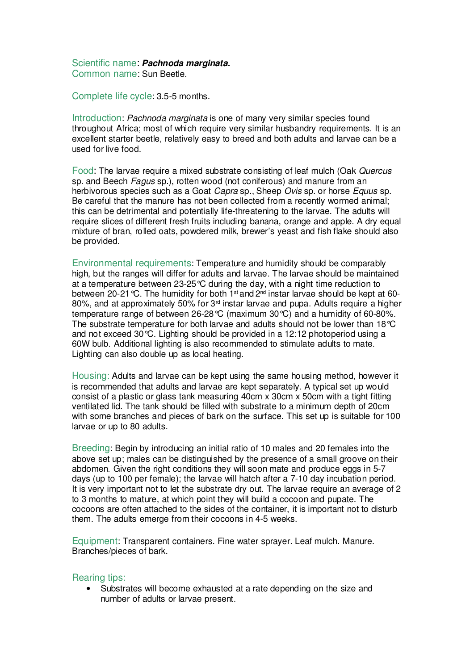#### Scientific name: **Pachnoda marginata.**  Common name: Sun Beetle.

Complete life cycle: 3.5-5 months.

Introduction: Pachnoda marginata is one of many very similar species found throughout Africa; most of which require very similar husbandry requirements. It is an excellent starter beetle, relatively easy to breed and both adults and larvae can be a used for live food.

Food: The larvae require a mixed substrate consisting of leaf mulch (Oak Quercus sp. and Beech Fagus sp.), rotten wood (not coniferous) and manure from an herbivorous species such as a Goat Capra sp., Sheep Ovis sp. or horse Equus sp. Be careful that the manure has not been collected from a recently wormed animal; this can be detrimental and potentially life-threatening to the larvae. The adults will require slices of different fresh fruits including banana, orange and apple. A dry equal mixture of bran, rolled oats, powdered milk, brewer's yeast and fish flake should also be provided.

Environmental requirements: Temperature and humidity should be comparably high, but the ranges will differ for adults and larvae. The larvae should be maintained at a temperature between 23-25°C during the day, with a night time reduction to between 20-21 °C. The humidity for both 1<sup>st</sup> and 2<sup>nd</sup> instar larvae should be kept at 60-80%, and at approximately 50% for 3<sup>rd</sup> instar larvae and pupa. Adults require a higher temperature range of between 26-28°C (maximum 30°C) and a humidity of 60-80%. The substrate temperature for both larvae and adults should not be lower than 18°C and not exceed 30°C. Lighting should be provided in a 12:12 photoperiod using a 60W bulb. Additional lighting is also recommended to stimulate adults to mate. Lighting can also double up as local heating.

Housing: Adults and larvae can be kept using the same housing method, however it is recommended that adults and larvae are kept separately. A typical set up would consist of a plastic or glass tank measuring 40cm x 30cm x 50cm with a tight fitting ventilated lid. The tank should be filled with substrate to a minimum depth of 20cm with some branches and pieces of bark on the surface. This set up is suitable for 100 larvae or up to 80 adults.

Breeding: Begin by introducing an initial ratio of 10 males and 20 females into the above set up; males can be distinguished by the presence of a small groove on their abdomen. Given the right conditions they will soon mate and produce eggs in 5-7 days (up to 100 per female); the larvae will hatch after a 7-10 day incubation period. It is very important not to let the substrate dry out. The larvae require an average of 2 to 3 months to mature, at which point they will build a cocoon and pupate. The cocoons are often attached to the sides of the container, it is important not to disturb them. The adults emerge from their cocoons in 4-5 weeks.

Equipment: Transparent containers. Fine water sprayer. Leaf mulch. Manure. Branches/pieces of bark.

#### Rearing tips:

• Substrates will become exhausted at a rate depending on the size and number of adults or larvae present.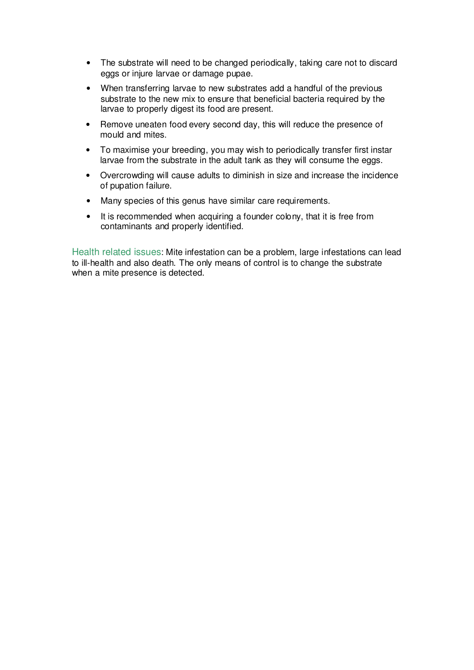- The substrate will need to be changed periodically, taking care not to discard eggs or injure larvae or damage pupae.
- When transferring larvae to new substrates add a handful of the previous substrate to the new mix to ensure that beneficial bacteria required by the larvae to properly digest its food are present.
- Remove uneaten food every second day, this will reduce the presence of mould and mites.
- To maximise your breeding, you may wish to periodically transfer first instar larvae from the substrate in the adult tank as they will consume the eggs.
- Overcrowding will cause adults to diminish in size and increase the incidence of pupation failure.
- Many species of this genus have similar care requirements.
- It is recommended when acquiring a founder colony, that it is free from contaminants and properly identified.

Health related issues: Mite infestation can be a problem, large infestations can lead to ill-health and also death. The only means of control is to change the substrate when a mite presence is detected.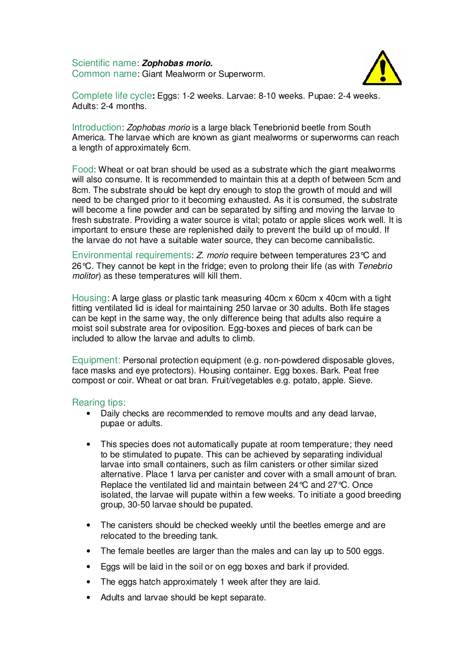Scientific name: **Zophobas morio.** Common name: Giant Mealworm or Superworm.



Complete life cycle**:** Eggs: 1-2 weeks. Larvae: 8-10 weeks. Pupae: 2-4 weeks. Adults: 2-4 months.

Introduction: Zophobas morio is a large black Tenebrionid beetle from South America. The larvae which are known as giant mealworms or superworms can reach a length of approximately 6cm.

Food: Wheat or oat bran should be used as a substrate which the giant mealworms will also consume. It is recommended to maintain this at a depth of between 5cm and 8cm. The substrate should be kept dry enough to stop the growth of mould and will need to be changed prior to it becoming exhausted. As it is consumed, the substrate will become a fine powder and can be separated by sifting and moving the larvae to fresh substrate. Providing a water source is vital; potato or apple slices work well. It is important to ensure these are replenished daily to prevent the build up of mould. If the larvae do not have a suitable water source, they can become cannibalistic.

Environmental requirements: Z. morio require between temperatures 23°C and 26 $\degree$ C. They cannot be kept in the fridge; even to prolong their life (as with Tenebrio molitor) as these temperatures will kill them.

Housing: A large glass or plastic tank measuring 40cm x 60cm x 40cm with a tight fitting ventilated lid is ideal for maintaining 250 larvae or 30 adults. Both life stages can be kept in the same way, the only difference being that adults also require a moist soil substrate area for oviposition. Egg-boxes and pieces of bark can be included to allow the larvae and adults to climb.

Equipment: Personal protection equipment (e.g. non-powdered disposable gloves, face masks and eye protectors). Housing container. Egg boxes. Bark. Peat free compost or coir. Wheat or oat bran. Fruit/vegetables e.g. potato, apple. Sieve.

- Daily checks are recommended to remove moults and any dead larvae, pupae or adults.
- This species does not automatically pupate at room temperature; they need to be stimulated to pupate. This can be achieved by separating individual larvae into small containers, such as film canisters or other similar sized alternative. Place 1 larva per canister and cover with a small amount of bran. Replace the ventilated lid and maintain between 24°C and 27°C. Once isolated, the larvae will pupate within a few weeks. To initiate a good breeding group, 30-50 larvae should be pupated.
- The canisters should be checked weekly until the beetles emerge and are relocated to the breeding tank.
- The female beetles are larger than the males and can lay up to 500 eggs.
- Eggs will be laid in the soil or on egg boxes and bark if provided.
- The eggs hatch approximately 1 week after they are laid.
- Adults and larvae should be kept separate.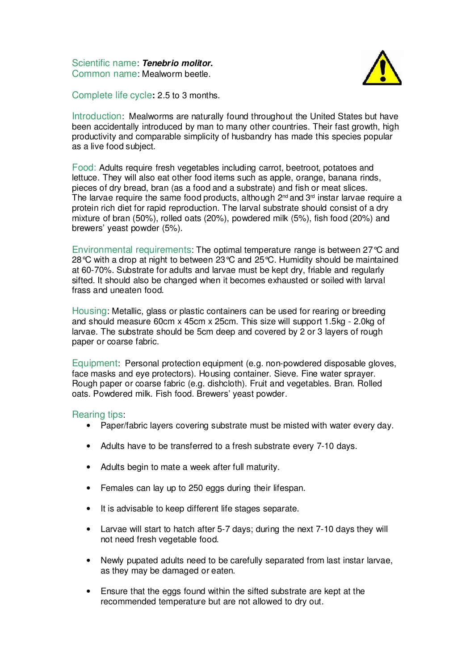Scientific name: **Tenebrio molitor.** Common name: Mealworm beetle.



Complete life cycle**:** 2.5 to 3 months.

Introduction: Mealworms are naturally found throughout the United States but have been accidentally introduced by man to many other countries. Their fast growth, high productivity and comparable simplicity of husbandry has made this species popular as a live food subject.

Food: Adults require fresh vegetables including carrot, beetroot, potatoes and lettuce. They will also eat other food items such as apple, orange, banana rinds, pieces of dry bread, bran (as a food and a substrate) and fish or meat slices. The larvae require the same food products, although  $2^{\text{nd}}$  and  $3^{\text{rd}}$  instar larvae require a protein rich diet for rapid reproduction. The larval substrate should consist of a dry mixture of bran (50%), rolled oats (20%), powdered milk (5%), fish food (20%) and brewers' yeast powder (5%).

Environmental requirements: The optimal temperature range is between 27°C and 28°C with a drop at night to between 23°C and 25°C. Humidity should be maintained at 60-70%. Substrate for adults and larvae must be kept dry, friable and regularly sifted. It should also be changed when it becomes exhausted or soiled with larval frass and uneaten food.

Housing: Metallic, glass or plastic containers can be used for rearing or breeding and should measure 60cm x 45cm x 25cm. This size will support 1.5kg - 2.0kg of larvae. The substrate should be 5cm deep and covered by 2 or 3 layers of rough paper or coarse fabric.

Equipment: Personal protection equipment (e.g. non-powdered disposable gloves, face masks and eye protectors). Housing container. Sieve. Fine water sprayer. Rough paper or coarse fabric (e.g. dishcloth). Fruit and vegetables. Bran. Rolled oats. Powdered milk. Fish food. Brewers' yeast powder.

- Paper/fabric layers covering substrate must be misted with water every day.
- Adults have to be transferred to a fresh substrate every 7-10 days.
- Adults begin to mate a week after full maturity.
- Females can lay up to 250 eggs during their lifespan.
- It is advisable to keep different life stages separate.
- Larvae will start to hatch after 5-7 days; during the next 7-10 days they will not need fresh vegetable food.
- Newly pupated adults need to be carefully separated from last instar larvae, as they may be damaged or eaten.
- Ensure that the eggs found within the sifted substrate are kept at the recommended temperature but are not allowed to dry out.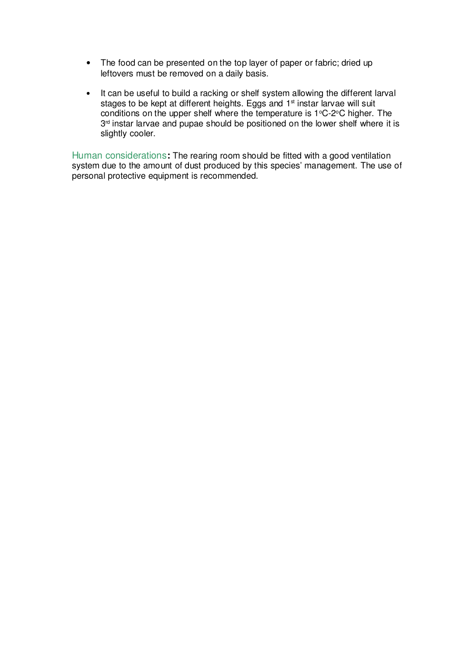- The food can be presented on the top layer of paper or fabric; dried up leftovers must be removed on a daily basis.
- It can be useful to build a racking or shelf system allowing the different larval stages to be kept at different heights. Eggs and 1<sup>st</sup> instar larvae will suit conditions on the upper shelf where the temperature is  $1^{\circ}$ C-2 $^{\circ}$ C higher. The 3<sup>rd</sup> instar larvae and pupae should be positioned on the lower shelf where it is slightly cooler.

Human considerations**:** The rearing room should be fitted with a good ventilation system due to the amount of dust produced by this species' management. The use of personal protective equipment is recommended.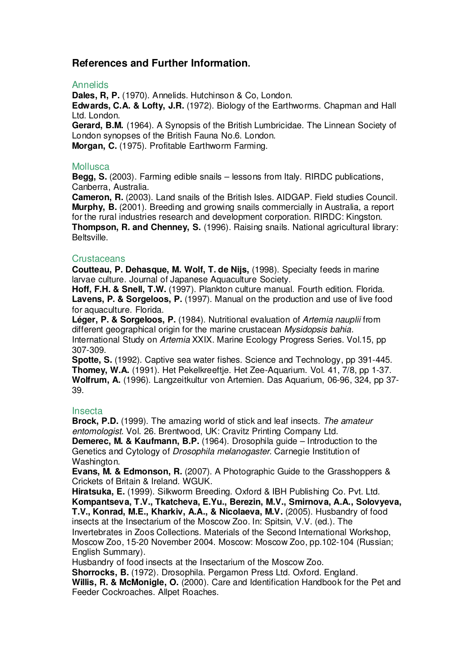# **References and Further Information.**

#### Annelids

**Dales, R, P.** (1970). Annelids. Hutchinson & Co, London.

**Edwards, C.A. & Lofty, J.R.** (1972). Biology of the Earthworms. Chapman and Hall Ltd. London.

**Gerard, B.M.** (1964). A Synopsis of the British Lumbricidae. The Linnean Society of London synopses of the British Fauna No.6. London.

**Morgan, C.** (1975). Profitable Earthworm Farming.

## **Mollusca**

**Begg, S.** (2003). Farming edible snails – lessons from Italy. RIRDC publications, Canberra, Australia.

**Cameron, R.** (2003). Land snails of the British Isles. AIDGAP. Field studies Council. **Murphy, B.** (2001). Breeding and growing snails commercially in Australia, a report for the rural industries research and development corporation. RIRDC: Kingston. **Thompson, R. and Chenney, S.** (1996). Raising snails. National agricultural library: Beltsville.

## **Crustaceans**

**Coutteau, P. Dehasque, M. Wolf, T. de Nijs,** (1998). Specialty feeds in marine larvae culture. Journal of Japanese Aquaculture Society.

**Hoff, F.H. & Snell, T.W.** (1997). Plankton culture manual. Fourth edition. Florida. **Lavens, P. & Sorgeloos, P.** (1997). Manual on the production and use of live food for aquaculture. Florida.

**Léger, P. & Sorgeloos, P.** (1984). Nutritional evaluation of Artemia nauplii from different geographical origin for the marine crustacean Mysidopsis bahia. International Study on Artemia XXIX. Marine Ecology Progress Series. Vol.15, pp 307-309.

**Spotte, S.** (1992). Captive sea water fishes. Science and Technology, pp 391-445. **Thomey, W.A.** (1991). Het Pekelkreeftje. Het Zee-Aquarium. Vol. 41, 7/8, pp 1-37. **Wolfrum, A.** (1996). Langzeitkultur von Artemien. Das Aquarium, 06-96, 324, pp 37- 39.

## Insecta

**Brock, P.D.** (1999). The amazing world of stick and leaf insects. The amateur entomologist. Vol. 26. Brentwood, UK: Cravitz Printing Company Ltd.

**Demerec, M. & Kaufmann, B.P.** (1964). Drosophila guide – Introduction to the Genetics and Cytology of Drosophila melanogaster. Carnegie Institution of Washington.

**Evans, M. & Edmonson, R.** (2007). A Photographic Guide to the Grasshoppers & Crickets of Britain & Ireland. WGUK.

**Hiratsuka, E.** (1999). Silkworm Breeding. Oxford & IBH Publishing Co. Pvt. Ltd. **Kompantseva, T.V., Tkatcheva, E.Yu., Berezin, M.V., Smirnova, A.A., Solovyeva, T.V., Konrad, M.E., Kharkiv, A.A., & Nicolaeva, M.V.** (2005). Husbandry of food insects at the Insectarium of the Moscow Zoo. In: Spitsin, V.V. (ed.). The Invertebrates in Zoos Collections. Materials of the Second International Workshop, Moscow Zoo, 15-20 November 2004. Moscow: Moscow Zoo, pp.102-104 (Russian; English Summary).

Husbandry of food insects at the Insectarium of the Moscow Zoo.

**Shorrocks, B.** (1972). Drosophila. Pergamon Press Ltd. Oxford. England.

**Willis, R. & McMonigle, O.** (2000). Care and Identification Handbook for the Pet and Feeder Cockroaches. Allpet Roaches.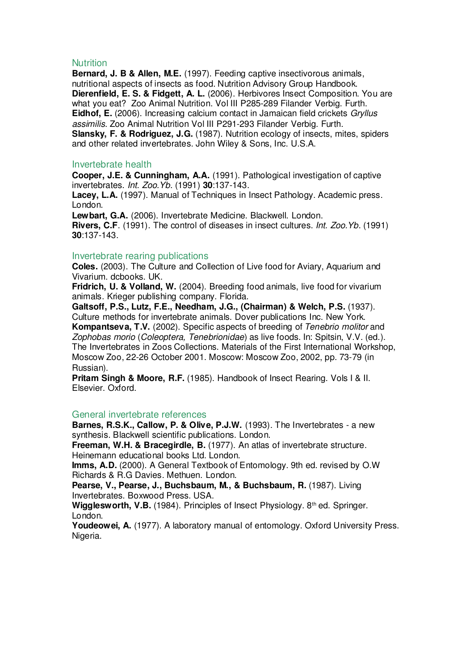#### **Nutrition**

**Bernard, J. B & Allen, M.E.** (1997). Feeding captive insectivorous animals, nutritional aspects of insects as food. Nutrition Advisory Group Handbook. **Dierenfield, E. S. & Fidgett, A. L.** (2006). Herbivores Insect Composition. You are what you eat? Zoo Animal Nutrition. Vol III P285-289 Filander Verbig. Furth. **Eidhof, E.** (2006). Increasing calcium contact in Jamaican field crickets Gryllus assimilis. Zoo Animal Nutrition Vol III P291-293 Filander Verbig. Furth. **Slansky, F. & Rodriguez, J.G.** (1987). Nutrition ecology of insects, mites, spiders and other related invertebrates. John Wiley & Sons, Inc. U.S.A.

#### Invertebrate health

**Cooper, J.E. & Cunningham, A.A.** (1991). Pathological investigation of captive invertebrates. Int. Zoo.Yb. (1991) **30**:137-143.

**Lacey, L.A.** (1997). Manual of Techniques in Insect Pathology. Academic press. London.

**Lewbart, G.A.** (2006). Invertebrate Medicine. Blackwell. London. **Rivers, C.F**. (1991). The control of diseases in insect cultures. Int. Zoo.Yb. (1991) **30**:137-143.

#### Invertebrate rearing publications

**Coles.** (2003). The Culture and Collection of Live food for Aviary, Aquarium and Vivarium. dcbooks. UK.

**Fridrich, U. & Volland, W.** (2004). Breeding food animals, live food for vivarium animals. Krieger publishing company. Florida.

**Galtsoff, P.S., Lutz, F.E., Needham, J.G., (Chairman) & Welch, P.S.** (1937). Culture methods for invertebrate animals. Dover publications Inc. New York. **Kompantseva, T.V.** (2002). Specific aspects of breeding of Tenebrio molitor and Zophobas morio (Coleoptera, Tenebrionidae) as live foods. In: Spitsin, V.V. (ed.). The Invertebrates in Zoos Collections. Materials of the First International Workshop, Moscow Zoo, 22-26 October 2001. Moscow: Moscow Zoo, 2002, pp. 73-79 (in Russian).

**Pritam Singh & Moore, R.F.** (1985). Handbook of Insect Rearing. Vols I & II. Elsevier. Oxford.

## General invertebrate references

**Barnes, R.S.K., Callow, P. & Olive, P.J.W.** (1993). The Invertebrates - a new synthesis. Blackwell scientific publications. London.

**Freeman, W.H. & Bracegirdle, B.** (1977). An atlas of invertebrate structure. Heinemann educational books Ltd. London.

**Imms, A.D.** (2000). A General Textbook of Entomology. 9th ed. revised by O.W Richards & R.G Davies. Methuen. London.

**Pearse, V., Pearse, J., Buchsbaum, M., & Buchsbaum, R.** (1987). Living Invertebrates. Boxwood Press. USA.

Wigglesworth, V.B. (1984). Principles of Insect Physiology. 8<sup>th</sup> ed. Springer. London.

**Youdeowei, A.** (1977). A laboratory manual of entomology. Oxford University Press. Nigeria.